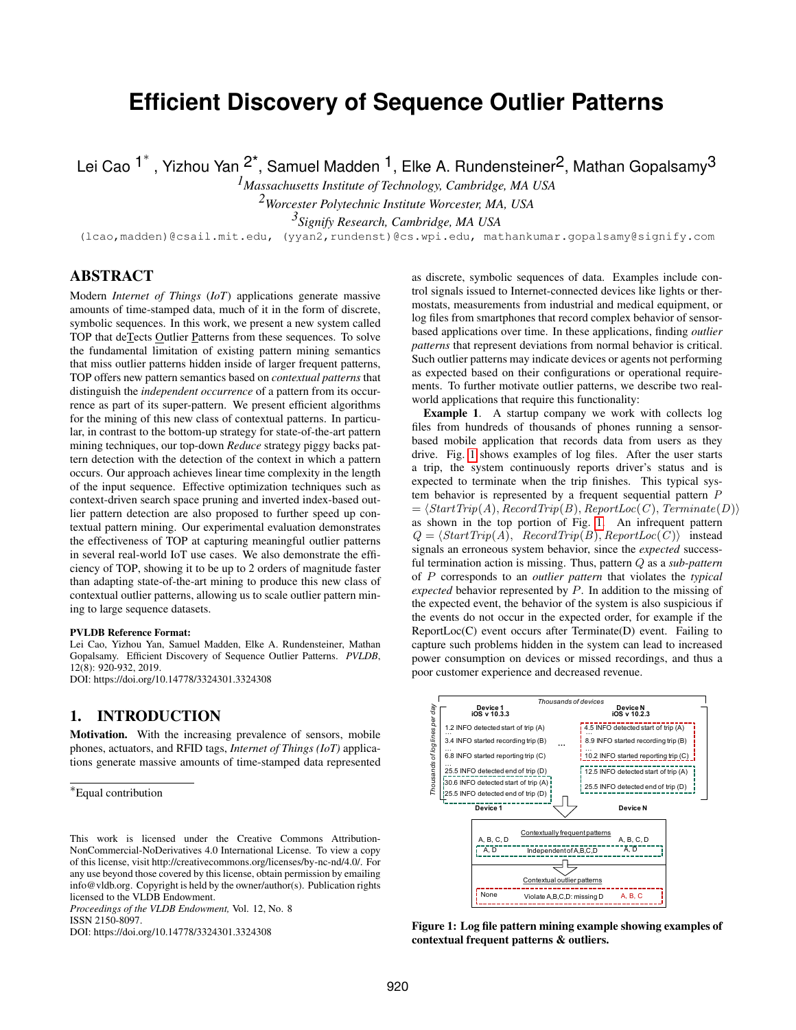# **Efficient Discovery of Sequence Outlier Patterns**

Lei Cao <sup>1\*</sup>, Yizhou Yan <sup>2\*</sup>, Samuel Madden <sup>1</sup>, Elke A. Rundensteiner<sup>2</sup>, Mathan Gopalsamy<sup>3</sup>

*1Massachusetts Institute of Technology, Cambridge, MA USA 2Worcester Polytechnic Institute Worcester, MA, USA*

*3 Signify Research, Cambridge, MA USA*

(lcao,madden)@csail.mit.edu, (yyan2,rundenst)@cs.wpi.edu, mathankumar.gopalsamy@signify.com

# ABSTRACT

Modern *Internet of Things* (*IoT*) applications generate massive amounts of time-stamped data, much of it in the form of discrete, symbolic sequences. In this work, we present a new system called TOP that deTects Outlier Patterns from these sequences. To solve the fundamental limitation of existing pattern mining semantics that miss outlier patterns hidden inside of larger frequent patterns, TOP offers new pattern semantics based on *contextual patterns* that distinguish the *independent occurrence* of a pattern from its occurrence as part of its super-pattern. We present efficient algorithms for the mining of this new class of contextual patterns. In particular, in contrast to the bottom-up strategy for state-of-the-art pattern mining techniques, our top-down *Reduce* strategy piggy backs pattern detection with the detection of the context in which a pattern occurs. Our approach achieves linear time complexity in the length of the input sequence. Effective optimization techniques such as context-driven search space pruning and inverted index-based outlier pattern detection are also proposed to further speed up contextual pattern mining. Our experimental evaluation demonstrates the effectiveness of TOP at capturing meaningful outlier patterns in several real-world IoT use cases. We also demonstrate the efficiency of TOP, showing it to be up to 2 orders of magnitude faster than adapting state-of-the-art mining to produce this new class of contextual outlier patterns, allowing us to scale outlier pattern mining to large sequence datasets.

#### PVLDB Reference Format:

Lei Cao, Yizhou Yan, Samuel Madden, Elke A. Rundensteiner, Mathan Gopalsamy. Efficient Discovery of Sequence Outlier Patterns. *PVLDB*, 12(8): 920-932, 2019. DOI: https://doi.org/10.14778/3324301.3324308

# <span id="page-0-1"></span>1. INTRODUCTION

Motivation. With the increasing prevalence of sensors, mobile phones, actuators, and RFID tags, *Internet of Things (IoT)* applications generate massive amounts of time-stamped data represented

*Proceedings of the VLDB Endowment,* Vol. 12, No. 8

ISSN 2150-8097.

DOI: https://doi.org/10.14778/3324301.3324308

as discrete, symbolic sequences of data. Examples include control signals issued to Internet-connected devices like lights or thermostats, measurements from industrial and medical equipment, or log files from smartphones that record complex behavior of sensorbased applications over time. In these applications, finding *outlier patterns* that represent deviations from normal behavior is critical. Such outlier patterns may indicate devices or agents not performing as expected based on their configurations or operational requirements. To further motivate outlier patterns, we describe two realworld applications that require this functionality:

Example 1. A startup company we work with collects log files from hundreds of thousands of phones running a sensorbased mobile application that records data from users as they drive. Fig. [1](#page-0-0) shows examples of log files. After the user starts a trip, the system continuously reports driver's status and is expected to terminate when the trip finishes. This typical system behavior is represented by a frequent sequential pattern P  $= \langle StartTrip(A), RecordTrip(B), ReportLoc(C), Terminate(D) \rangle$ as shown in the top portion of Fig. [1.](#page-0-0) An infrequent pattern  $Q = \langle StartTrip(A), RecordTrip(B), ReportLoc(C) \rangle$  instead signals an erroneous system behavior, since the *expected* successful termination action is missing. Thus, pattern Q as a *sub*-*pattern* of P corresponds to an *outlier pattern* that violates the *typical expected* behavior represented by P. In addition to the missing of the expected event, the behavior of the system is also suspicious if the events do not occur in the expected order, for example if the ReportLoc(C) event occurs after Terminate(D) event. Failing to capture such problems hidden in the system can lead to increased power consumption on devices or missed recordings, and thus a poor customer experience and decreased revenue.

<span id="page-0-0"></span>

Figure 1: Log file pattern mining example showing examples of contextual frequent patterns & outliers.

<sup>∗</sup>Equal contribution

This work is licensed under the Creative Commons Attribution-NonCommercial-NoDerivatives 4.0 International License. To view a copy of this license, visit http://creativecommons.org/licenses/by-nc-nd/4.0/. For any use beyond those covered by this license, obtain permission by emailing info@vldb.org. Copyright is held by the owner/author(s). Publication rights licensed to the VLDB Endowment.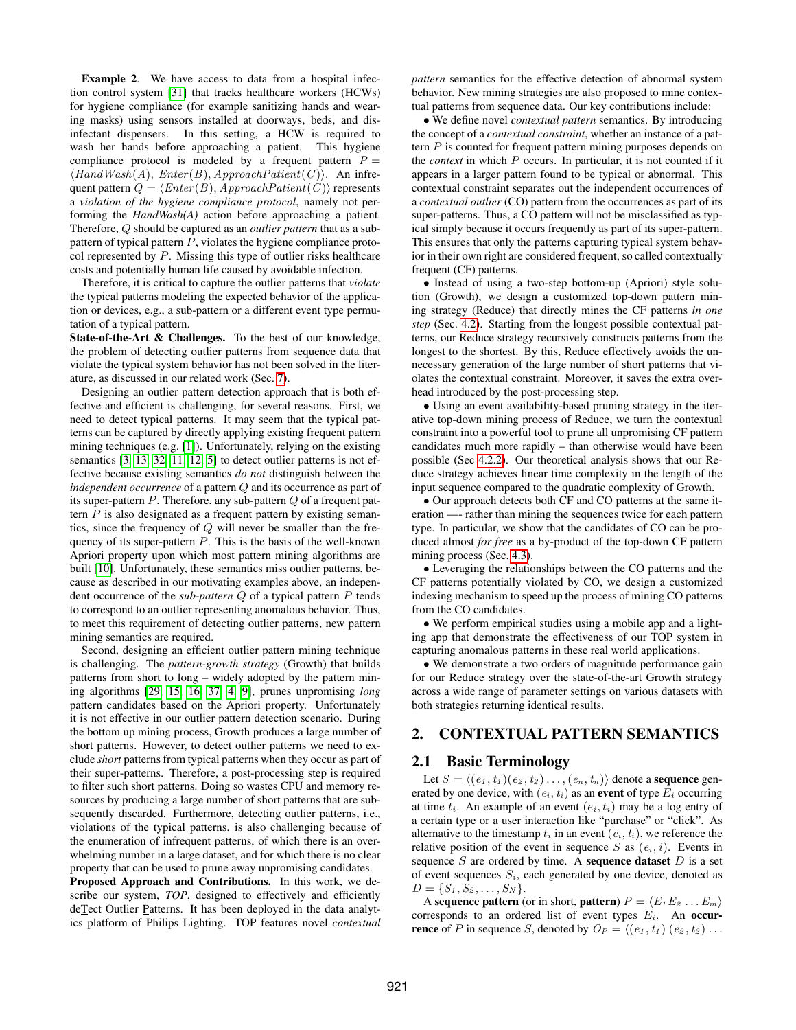Example 2. We have access to data from a hospital infection control system [\[31\]](#page-12-0) that tracks healthcare workers (HCWs) for hygiene compliance (for example sanitizing hands and wearing masks) using sensors installed at doorways, beds, and disinfectant dispensers. In this setting, a HCW is required to wash her hands before approaching a patient. This hygiene compliance protocol is modeled by a frequent pattern  $P =$  $\langle \text{HandWash}(A), \text{Enter}(B), \text{ApproachPatient}(C) \rangle$ . An infrequent pattern  $Q = \langle Enter(B), ApproachPatient(C)\rangle$  represents a *violation of the hygiene compliance protocol*, namely not performing the *HandWash(A)* action before approaching a patient. Therefore, Q should be captured as an *outlier pattern* that as a subpattern of typical pattern  $P$ , violates the hygiene compliance protocol represented by  $P$ . Missing this type of outlier risks healthcare costs and potentially human life caused by avoidable infection.

Therefore, it is critical to capture the outlier patterns that *violate* the typical patterns modeling the expected behavior of the application or devices, e.g., a sub-pattern or a different event type permutation of a typical pattern.

State-of-the-Art & Challenges. To the best of our knowledge, the problem of detecting outlier patterns from sequence data that violate the typical system behavior has not been solved in the literature, as discussed in our related work (Sec. [7\)](#page-10-0).

Designing an outlier pattern detection approach that is both effective and efficient is challenging, for several reasons. First, we need to detect typical patterns. It may seem that the typical patterns can be captured by directly applying existing frequent pattern mining techniques (e.g. [\[1\]](#page-12-1)). Unfortunately, relying on the existing semantics [\[3,](#page-12-2) [13,](#page-12-3) [32,](#page-12-4) [11,](#page-12-5) [12,](#page-12-6) [5\]](#page-12-7) to detect outlier patterns is not effective because existing semantics *do not* distinguish between the *independent occurrence* of a pattern Q and its occurrence as part of its super-pattern  $P$ . Therefore, any sub-pattern  $Q$  of a frequent pattern  $P$  is also designated as a frequent pattern by existing semantics, since the frequency of  $Q$  will never be smaller than the frequency of its super-pattern  $P$ . This is the basis of the well-known Apriori property upon which most pattern mining algorithms are built [\[10\]](#page-12-8). Unfortunately, these semantics miss outlier patterns, because as described in our motivating examples above, an independent occurrence of the *sub*-*pattern* Q of a typical pattern P tends to correspond to an outlier representing anomalous behavior. Thus, to meet this requirement of detecting outlier patterns, new pattern mining semantics are required.

Second, designing an efficient outlier pattern mining technique is challenging. The *pattern-growth strategy* (Growth) that builds patterns from short to long – widely adopted by the pattern mining algorithms [\[29,](#page-12-9) [15,](#page-12-10) [16,](#page-12-11) [37,](#page-12-12) [4,](#page-12-13) [9\]](#page-12-14), prunes unpromising *long* pattern candidates based on the Apriori property. Unfortunately it is not effective in our outlier pattern detection scenario. During the bottom up mining process, Growth produces a large number of short patterns. However, to detect outlier patterns we need to exclude *short* patterns from typical patterns when they occur as part of their super-patterns. Therefore, a post-processing step is required to filter such short patterns. Doing so wastes CPU and memory resources by producing a large number of short patterns that are subsequently discarded. Furthermore, detecting outlier patterns, i.e., violations of the typical patterns, is also challenging because of the enumeration of infrequent patterns, of which there is an overwhelming number in a large dataset, and for which there is no clear property that can be used to prune away unpromising candidates.

Proposed Approach and Contributions. In this work, we describe our system, *TOP*, designed to effectively and efficiently deTect Outlier Patterns. It has been deployed in the data analytics platform of Philips Lighting. TOP features novel *contextual* *pattern* semantics for the effective detection of abnormal system behavior. New mining strategies are also proposed to mine contextual patterns from sequence data. Our key contributions include:

• We define novel *contextual pattern* semantics. By introducing the concept of a *contextual constraint*, whether an instance of a pattern P is counted for frequent pattern mining purposes depends on the *context* in which P occurs. In particular, it is not counted if it appears in a larger pattern found to be typical or abnormal. This contextual constraint separates out the independent occurrences of a *contextual outlier* (CO) pattern from the occurrences as part of its super-patterns. Thus, a CO pattern will not be misclassified as typical simply because it occurs frequently as part of its super-pattern. This ensures that only the patterns capturing typical system behavior in their own right are considered frequent, so called contextually frequent (CF) patterns.

• Instead of using a two-step bottom-up (Apriori) style solution (Growth), we design a customized top-down pattern mining strategy (Reduce) that directly mines the CF patterns *in one step* (Sec. [4.2\)](#page-4-0). Starting from the longest possible contextual patterns, our Reduce strategy recursively constructs patterns from the longest to the shortest. By this, Reduce effectively avoids the unnecessary generation of the large number of short patterns that violates the contextual constraint. Moreover, it saves the extra overhead introduced by the post-processing step.

• Using an event availability-based pruning strategy in the iterative top-down mining process of Reduce, we turn the contextual constraint into a powerful tool to prune all unpromising CF pattern candidates much more rapidly – than otherwise would have been possible (Sec [4.2.2\)](#page-5-0). Our theoretical analysis shows that our Reduce strategy achieves linear time complexity in the length of the input sequence compared to the quadratic complexity of Growth.

• Our approach detects both CF and CO patterns at the same iteration —- rather than mining the sequences twice for each pattern type. In particular, we show that the candidates of CO can be produced almost *for free* as a by-product of the top-down CF pattern mining process (Sec. [4.3\)](#page-7-0).

• Leveraging the relationships between the CO patterns and the CF patterns potentially violated by CO, we design a customized indexing mechanism to speed up the process of mining CO patterns from the CO candidates.

• We perform empirical studies using a mobile app and a lighting app that demonstrate the effectiveness of our TOP system in capturing anomalous patterns in these real world applications.

• We demonstrate a two orders of magnitude performance gain for our Reduce strategy over the state-of-the-art Growth strategy across a wide range of parameter settings on various datasets with both strategies returning identical results.

## 2. CONTEXTUAL PATTERN SEMANTICS

## 2.1 Basic Terminology

Let  $S = \langle (e_1 , t_1 ) (e_2 , t_2 ) \ldots , (e_n , t_n ) \rangle$  denote a **sequence** generated by one device, with  $(e_i, t_i)$  as an event of type  $E_i$  occurring at time  $t_i$ . An example of an event  $(e_i, t_i)$  may be a log entry of a certain type or a user interaction like "purchase" or "click". As alternative to the timestamp  $t_i$  in an event  $(e_i, t_i)$ , we reference the relative position of the event in sequence S as  $(e_i, i)$ . Events in sequence  $S$  are ordered by time. A **sequence dataset**  $D$  is a set of event sequences  $S_i$ , each generated by one device, denoted as  $D = \{S_1, S_2, \ldots, S_N\}.$ 

A sequence pattern (or in short, pattern)  $P = \langle E_1 E_2 ... E_m \rangle$ corresponds to an ordered list of event types  $E_i$ . An occur**rence** of P in sequence S, denoted by  $O_P = \langle (e_1, t_1) (e_2, t_2) \dots \rangle$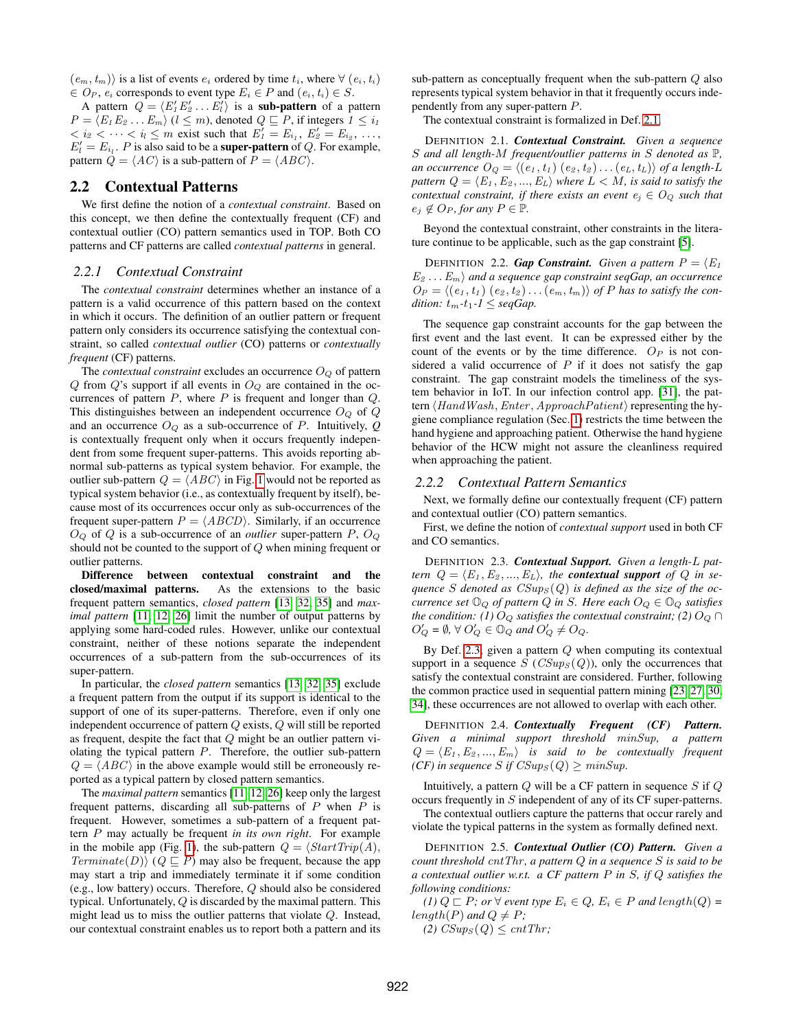$(e_m, t_m)$  is a list of events  $e_i$  ordered by time  $t_i$ , where  $\forall$   $(e_i, t_i)$  $\in$   $O_P$ ,  $e_i$  corresponds to event type  $E_i \in P$  and  $(e_i, t_i) \in S$ .

A pattern  $Q = \langle E_1'E_2' \dots E_l' \rangle$  is a sub-pattern of a pattern  $P = \langle E_1 E_2 ... E_m \rangle$  ( $l \leq m$ ), denoted  $Q \sqsubseteq P$ , if integers  $1 \leq i_1$  $1 < i_2 < \cdots < i_l \le m$  exist such that  $E'_1 = E_{i_1}, E'_2 = E_{i_2}, \ldots,$  $E' = E_{i_l}$ . P is also said to be a **super-pattern** of Q. For example, pattern  $Q = \langle AC \rangle$  is a sub-pattern of  $P = \langle ABC \rangle$ .

## 2.2 Contextual Patterns

We first define the notion of a *contextual constraint*. Based on this concept, we then define the contextually frequent (CF) and contextual outlier (CO) pattern semantics used in TOP. Both CO patterns and CF patterns are called *contextual patterns* in general.

#### <span id="page-2-5"></span>*2.2.1 Contextual Constraint*

The *contextual constraint* determines whether an instance of a pattern is a valid occurrence of this pattern based on the context in which it occurs. The definition of an outlier pattern or frequent pattern only considers its occurrence satisfying the contextual constraint, so called *contextual outlier* (CO) patterns or *contextually frequent* (CF) patterns.

The *contextual constraint* excludes an occurrence  $O_Q$  of pattern  $Q$  from  $Q$ 's support if all events in  $O_Q$  are contained in the occurrences of pattern  $P$ , where  $P$  is frequent and longer than  $Q$ . This distinguishes between an independent occurrence  $O_Q$  of  $Q$ and an occurrence  $O_Q$  as a sub-occurrence of P. Intuitively,  $Q$ is contextually frequent only when it occurs frequently independent from some frequent super-patterns. This avoids reporting abnormal sub-patterns as typical system behavior. For example, the outlier sub-pattern  $Q = \langle ABC \rangle$  in Fig. [1](#page-0-0) would not be reported as typical system behavior (i.e., as contextually frequent by itself), because most of its occurrences occur only as sub-occurrences of the frequent super-pattern  $P = \langle ABCD \rangle$ . Similarly, if an occurrence  $O_Q$  of  $Q$  is a sub-occurrence of an *outlier* super-pattern  $P$ ,  $O_Q$ should not be counted to the support of Q when mining frequent or outlier patterns.

Difference between contextual constraint and the closed/maximal patterns. As the extensions to the basic frequent pattern semantics, *closed pattern* [\[13,](#page-12-3) [32,](#page-12-4) [35\]](#page-12-15) and *maximal pattern* [\[11,](#page-12-5) [12,](#page-12-6) [26\]](#page-12-16) limit the number of output patterns by applying some hard-coded rules. However, unlike our contextual constraint, neither of these notions separate the independent occurrences of a sub-pattern from the sub-occurrences of its super-pattern.

In particular, the *closed pattern* semantics [\[13,](#page-12-3) [32,](#page-12-4) [35\]](#page-12-15) exclude a frequent pattern from the output if its support is identical to the support of one of its super-patterns. Therefore, even if only one independent occurrence of pattern Q exists, Q will still be reported as frequent, despite the fact that Q might be an outlier pattern violating the typical pattern  $P$ . Therefore, the outlier sub-pattern  $Q = \langle ABC \rangle$  in the above example would still be erroneously reported as a typical pattern by closed pattern semantics.

The *maximal pattern* semantics [\[11,](#page-12-5) [12,](#page-12-6) [26\]](#page-12-16) keep only the largest frequent patterns, discarding all sub-patterns of  $P$  when  $P$  is frequent. However, sometimes a sub-pattern of a frequent pattern P may actually be frequent *in its own right*. For example in the mobile app (Fig. [1\)](#page-0-0), the sub-pattern  $Q = \langle StartTrip(A),\rangle$  $Terminate(D)$  ( $Q \sqsubseteq P$ ) may also be frequent, because the app may start a trip and immediately terminate it if some condition (e.g., low battery) occurs. Therefore, Q should also be considered typical. Unfortunately, Q is discarded by the maximal pattern. This might lead us to miss the outlier patterns that violate Q. Instead, our contextual constraint enables us to report both a pattern and its sub-pattern as conceptually frequent when the sub-pattern Q also represents typical system behavior in that it frequently occurs independently from any super-pattern P.

The contextual constraint is formalized in Def. [2.1.](#page-2-0)

<span id="page-2-0"></span>DEFINITION 2.1. *Contextual Constraint. Given a sequence* S *and all length-*M *frequent/outlier patterns in* S *denoted as* P*, an occurrence*  $O_Q = \langle (e_1, t_1) (e_2, t_2) \dots (e_L, t_L) \rangle$  *of a length-L pattern*  $Q = \langle E_1, E_2, ..., E_L \rangle$  *where*  $L < M$ *, is said to satisfy the contextual constraint, if there exists an event*  $e_i \in O_Q$  *such that*  $e_j \notin O_P$ *, for any*  $P \in \mathbb{P}$ *.* 

Beyond the contextual constraint, other constraints in the literature continue to be applicable, such as the gap constraint [\[5\]](#page-12-7).

<span id="page-2-4"></span>DEFINITION 2.2. *Gap Constraint. Given a pattern*  $P = \langle E_1 \rangle$  $E_2 \ldots E_m$  *and a sequence gap constraint seqGap, an occurrence*  $O_P = \langle (e_1, t_1) (e_2, t_2) \dots (e_m, t_m) \rangle$  *of P* has to satisfy the con*dition:*  $t_m$ - $t_1$ - $l \leq$  *seqGap.* 

The sequence gap constraint accounts for the gap between the first event and the last event. It can be expressed either by the count of the events or by the time difference.  $O_P$  is not considered a valid occurrence of  $P$  if it does not satisfy the gap constraint. The gap constraint models the timeliness of the system behavior in IoT. In our infection control app. [\[31\]](#page-12-0), the pattern  $\langle HandWash, Enter, ApproachPatient\rangle$  representing the hygiene compliance regulation (Sec. [1\)](#page-0-1) restricts the time between the hand hygiene and approaching patient. Otherwise the hand hygiene behavior of the HCW might not assure the cleanliness required when approaching the patient.

#### *2.2.2 Contextual Pattern Semantics*

Next, we formally define our contextually frequent (CF) pattern and contextual outlier (CO) pattern semantics.

First, we define the notion of *contextual support* used in both CF and CO semantics.

<span id="page-2-1"></span>DEFINITION 2.3. *Contextual Support. Given a length-*L *pattern*  $Q = \langle E_1, E_2, ..., E_L \rangle$ , the *contextual support* of Q in se $q$ uence  $S$  denoted as  $CSups(Q)$  is defined as the size of the oc*currence set*  $\mathbb{O}_Q$  *of pattern*  $Q$  *in S. Here each*  $O_Q \in \mathbb{O}_Q$  *satisfies the condition: (1)*  $O_Q$  *satisfies the contextual constraint; (2)*  $O_Q \cap$  $O'_Q = \emptyset$ ,  $\forall O'_Q \in \mathbb{O}_Q$  and  $O'_Q \neq O_Q$ .

By Def. [2.3,](#page-2-1) given a pattern  $Q$  when computing its contextual support in a sequence  $S (CSup<sub>S</sub>(Q))$ , only the occurrences that satisfy the contextual constraint are considered. Further, following the common practice used in sequential pattern mining [\[23,](#page-12-17) [27,](#page-12-18) [30,](#page-12-19) [34\]](#page-12-20), these occurrences are not allowed to overlap with each other.

<span id="page-2-3"></span>DEFINITION 2.4. *Contextually Frequent (CF) Pattern. Given a minimal support threshold* minSup*, a pattern*  $Q = \langle E_1, E_2, ..., E_m \rangle$  *is said to be contextually frequent (CF)* in sequence *S* if  $CSups(Q) \geq minSup$ .

Intuitively, a pattern  $Q$  will be a CF pattern in sequence  $S$  if  $Q$ occurs frequently in S independent of any of its CF super-patterns.

The contextual outliers capture the patterns that occur rarely and violate the typical patterns in the system as formally defined next.

<span id="page-2-2"></span>DEFINITION 2.5. *Contextual Outlier (CO) Pattern. Given a count threshold* cntThr *, a pattern* Q *in a sequence* S *is said to be a contextual outlier w.r.t. a CF pattern* P *in* S*, if* Q *satisfies the following conditions:*

 $(I)$   $Q \sqsubset P$ *; or*  $\forall$  *event type*  $E_i \in Q$ *,*  $E_i \in P$  *and* length( $Q$ ) = length(P) and  $Q \neq P$ ;

 $(2)$  *CSup<sub>S</sub>* $(Q) \leq cntThr$ ;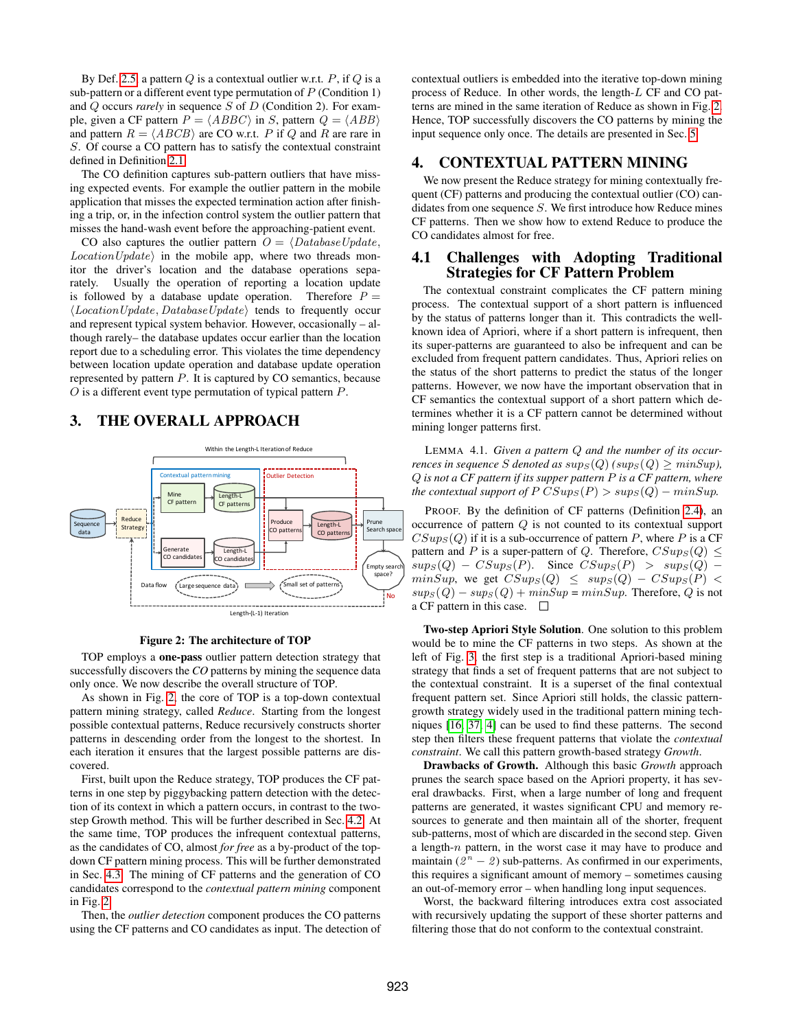By Def. [2.5,](#page-2-2) a pattern  $Q$  is a contextual outlier w.r.t.  $P$ , if  $Q$  is a sub-pattern or a different event type permutation of  $P$  (Condition 1) and Q occurs *rarely* in sequence S of D (Condition 2). For example, given a CF pattern  $P = \langle ABBC \rangle$  in S, pattern  $Q = \langle ABB \rangle$ and pattern  $R = \langle ABCB \rangle$  are CO w.r.t. P if Q and R are rare in S. Of course a CO pattern has to satisfy the contextual constraint defined in Definition [2.1.](#page-2-0)

The CO definition captures sub-pattern outliers that have missing expected events. For example the outlier pattern in the mobile application that misses the expected termination action after finishing a trip, or, in the infection control system the outlier pattern that misses the hand-wash event before the approaching-patient event.

CO also captures the outlier pattern  $O = \langle DatabaseUpdate,$  $LocationUpdate\rangle$  in the mobile app, where two threads monitor the driver's location and the database operations separately. Usually the operation of reporting a location update is followed by a database update operation. Therefore  $P =$  $\langle LocationUpdate, DatabaseUpdate\rangle$  tends to frequently occur and represent typical system behavior. However, occasionally – although rarely– the database updates occur earlier than the location report due to a scheduling error. This violates the time dependency between location update operation and database update operation represented by pattern  $P$ . It is captured by  $CO$  semantics, because O is a different event type permutation of typical pattern P.

## 3. THE OVERALL APPROACH

<span id="page-3-0"></span>

#### Figure 2: The architecture of TOP

TOP employs a one-pass outlier pattern detection strategy that successfully discovers the *CO* patterns by mining the sequence data only once. We now describe the overall structure of TOP.

As shown in Fig. [2,](#page-3-0) the core of TOP is a top-down contextual pattern mining strategy, called *Reduce*. Starting from the longest possible contextual patterns, Reduce recursively constructs shorter patterns in descending order from the longest to the shortest. In each iteration it ensures that the largest possible patterns are discovered.

First, built upon the Reduce strategy, TOP produces the CF patterns in one step by piggybacking pattern detection with the detection of its context in which a pattern occurs, in contrast to the twostep Growth method. This will be further described in Sec. [4.2.](#page-4-0) At the same time, TOP produces the infrequent contextual patterns, as the candidates of CO, almost *for free* as a by-product of the topdown CF pattern mining process. This will be further demonstrated in Sec. [4.3.](#page-7-0) The mining of CF patterns and the generation of CO candidates correspond to the *contextual pattern mining* component in Fig. [2.](#page-3-0)

Then, the *outlier detection* component produces the CO patterns using the CF patterns and CO candidates as input. The detection of contextual outliers is embedded into the iterative top-down mining process of Reduce. In other words, the length-L CF and CO patterns are mined in the same iteration of Reduce as shown in Fig. [2.](#page-3-0) Hence, TOP successfully discovers the CO patterns by mining the input sequence only once. The details are presented in Sec. [5.](#page-7-1)

## 4. CONTEXTUAL PATTERN MINING

We now present the Reduce strategy for mining contextually frequent (CF) patterns and producing the contextual outlier (CO) candidates from one sequence  $S$ . We first introduce how Reduce mines CF patterns. Then we show how to extend Reduce to produce the CO candidates almost for free.

## <span id="page-3-1"></span>4.1 Challenges with Adopting Traditional Strategies for CF Pattern Problem

The contextual constraint complicates the CF pattern mining process. The contextual support of a short pattern is influenced by the status of patterns longer than it. This contradicts the wellknown idea of Apriori, where if a short pattern is infrequent, then its super-patterns are guaranteed to also be infrequent and can be excluded from frequent pattern candidates. Thus, Apriori relies on the status of the short patterns to predict the status of the longer patterns. However, we now have the important observation that in CF semantics the contextual support of a short pattern which determines whether it is a CF pattern cannot be determined without mining longer patterns first.

LEMMA 4.1. *Given a pattern* Q *and the number of its occurrences in sequence S denoted as*  $sup_S(Q)$  *(* $sup_S(Q) \ge minSup_j$ *)*, Q *is not a CF pattern if its supper pattern* P *is a CF pattern, where the contextual support of*  $PCSup_S(P) > sup_S(Q) - minSup.$ 

PROOF. By the definition of CF patterns (Definition [2.4\)](#page-2-3), an occurrence of pattern Q is not counted to its contextual support  $CSup<sub>S</sub>(Q)$  if it is a sub-occurrence of pattern P, where P is a CF pattern and P is a super-pattern of Q. Therefore,  $CSups(Q) \leq$  $sups(Q) - CSups(P)$ . Since  $CSups(P) > sup_S(Q)$  –  $minSup,$  we get  $CSups(Q) \leq sup_S(Q) - CSups(P)$  $sups(Q) - sup_S(Q) + minSup = minSup$ . Therefore, Q is not a CF pattern in this case.  $\square$ 

Two-step Apriori Style Solution. One solution to this problem would be to mine the CF patterns in two steps. As shown at the left of Fig. [3,](#page-4-1) the first step is a traditional Apriori-based mining strategy that finds a set of frequent patterns that are not subject to the contextual constraint. It is a superset of the final contextual frequent pattern set. Since Apriori still holds, the classic patterngrowth strategy widely used in the traditional pattern mining techniques [\[16,](#page-12-11) [37,](#page-12-12) [4\]](#page-12-13) can be used to find these patterns. The second step then filters these frequent patterns that violate the *contextual constraint*. We call this pattern growth-based strategy *Growth*.

Drawbacks of Growth. Although this basic *Growth* approach prunes the search space based on the Apriori property, it has several drawbacks. First, when a large number of long and frequent patterns are generated, it wastes significant CPU and memory resources to generate and then maintain all of the shorter, frequent sub-patterns, most of which are discarded in the second step. Given a length-n pattern, in the worst case it may have to produce and maintain  $(2^n - 2)$  sub-patterns. As confirmed in our experiments, this requires a significant amount of memory – sometimes causing an out-of-memory error – when handling long input sequences.

Worst, the backward filtering introduces extra cost associated with recursively updating the support of these shorter patterns and filtering those that do not conform to the contextual constraint.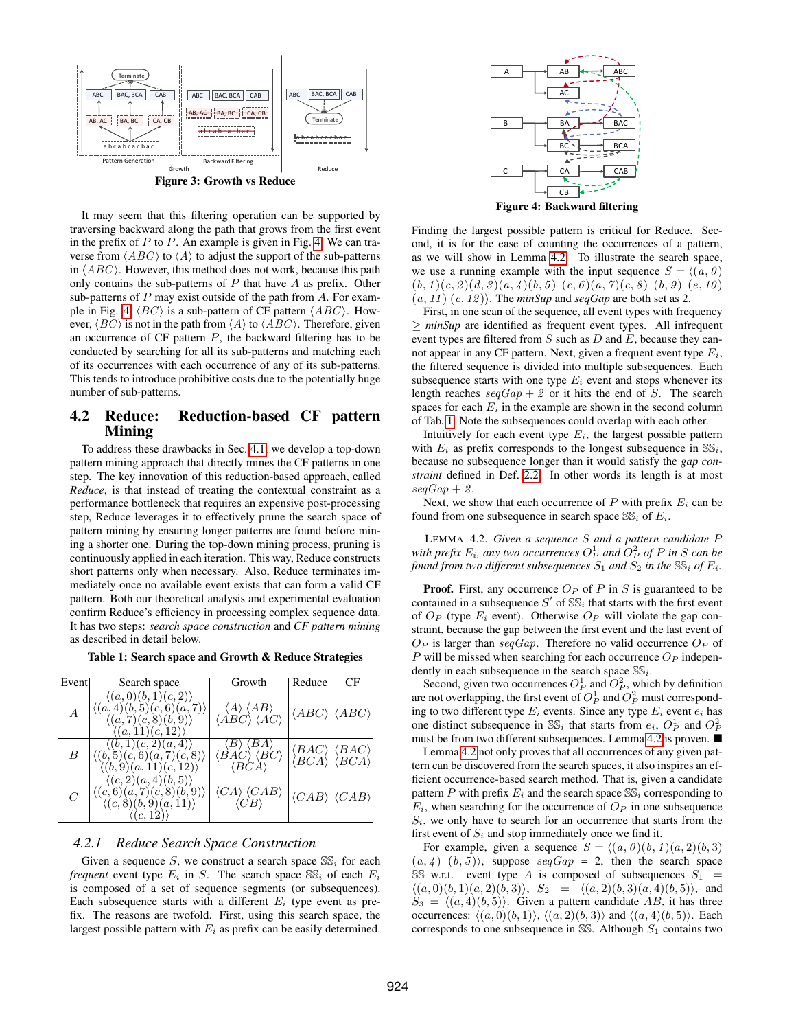<span id="page-4-1"></span>

Figure 3: Growth vs Reduce

It may seem that this filtering operation can be supported by traversing backward along the path that grows from the first event in the prefix of  $P$  to  $P$ . An example is given in Fig. [4.](#page-4-2) We can traverse from  $\langle ABC \rangle$  to  $\langle A \rangle$  to adjust the support of the sub-patterns in  $\langle ABC \rangle$ . However, this method does not work, because this path only contains the sub-patterns of  $P$  that have  $A$  as prefix. Other sub-patterns of  $P$  may exist outside of the path from  $A$ . For exam-ple in Fig. [4,](#page-4-2)  $\langle BC \rangle$  is a sub-pattern of CF pattern  $\langle ABC \rangle$ . However,  $\langle BC \rangle$  is not in the path from  $\langle A \rangle$  to  $\langle ABC \rangle$ . Therefore, given an occurrence of  $CF$  pattern  $P$ , the backward filtering has to be conducted by searching for all its sub-patterns and matching each of its occurrences with each occurrence of any of its sub-patterns. This tends to introduce prohibitive costs due to the potentially huge number of sub-patterns.

# <span id="page-4-0"></span>4.2 Reduce: Reduction-based CF pattern Mining

To address these drawbacks in Sec. [4.1,](#page-3-1) we develop a top-down pattern mining approach that directly mines the CF patterns in one step. The key innovation of this reduction-based approach, called *Reduce*, is that instead of treating the contextual constraint as a performance bottleneck that requires an expensive post-processing step, Reduce leverages it to effectively prune the search space of pattern mining by ensuring longer patterns are found before mining a shorter one. During the top-down mining process, pruning is continuously applied in each iteration. This way, Reduce constructs short patterns only when necessary. Also, Reduce terminates immediately once no available event exists that can form a valid CF pattern. Both our theoretical analysis and experimental evaluation confirm Reduce's efficiency in processing complex sequence data. It has two steps: *search space construction* and *CF pattern mining* as described in detail below.

<span id="page-4-4"></span>Table 1: Search space and Growth & Reduce Strategies

| Event         | Search space                                                                                                                                            | Growth                                                                                                               | Reduce                                     | CF.                                                                |
|---------------|---------------------------------------------------------------------------------------------------------------------------------------------------------|----------------------------------------------------------------------------------------------------------------------|--------------------------------------------|--------------------------------------------------------------------|
| A             | $\langle (a,0)(b,1)(c,2) \rangle$<br>$\langle (a,4)(b,5)(c,6)(a,7) \rangle$<br>$\langle (a, 7)(c, 8)(b, 9) \rangle$<br>$\langle (a, 11)(c, 12) \rangle$ | $\langle A \rangle \langle AB \rangle$<br>$\langle \overrightarrow{ABC} \rangle \langle \overrightarrow{AC} \rangle$ | $\langle ABC \rangle  \langle ABC \rangle$ |                                                                    |
| B             | $\langle (b,1)(c,2)(a,4) \rangle$<br>$\langle (b,5)(c,6)(a,7)(c,8) \rangle$<br>$\langle (b, 9)(a, 11)(c, 12) \rangle$                                   | $\langle B\rangle$ :<br>(BA<br>$\langle BAC \rangle$ $\langle BC \rangle$<br>$\langle BCA\rangle$                    | $\langle BAC\rangle\vert$                  | $\langle BAC\rangle$<br>$\langle BCA \rangle  \langle BCA \rangle$ |
| $\mathcal{C}$ | $\langle (c,2)(a,4)(b,5) \rangle$<br>$\langle (c,6)(a,7)(c,8)(b,9) \rangle$<br>$\langle (c, 8)(b, 9)(a, 11) \rangle$                                    | $\langle CA \rangle \langle CAB \rangle$<br>$\langle CR\rangle$                                                      | $\langle CAB \rangle  \langle CAB \rangle$ |                                                                    |

#### *4.2.1 Reduce Search Space Construction*

Given a sequence S, we construct a search space  $SS_i$  for each *frequent* event type  $E_i$  in S. The search space  $SS_i$  of each  $E_i$ is composed of a set of sequence segments (or subsequences). Each subsequence starts with a different  $E_i$  type event as prefix. The reasons are twofold. First, using this search space, the largest possible pattern with  $E_i$  as prefix can be easily determined.

<span id="page-4-2"></span>

Finding the largest possible pattern is critical for Reduce. Second, it is for the ease of counting the occurrences of a pattern, as we will show in Lemma [4.2.](#page-4-3) To illustrate the search space, we use a running example with the input sequence  $S = \langle (a, 0) \rangle$  $(b, 1)(c, 2)(d, 3)(a, 4)(b, 5)(c, 6)(a, 7)(c, 8)(b, 9)(e, 10)$  $(a, 11)$   $(c, 12)$ . The *minSup* and *seqGap* are both set as 2.

First, in one scan of the sequence, all event types with frequency ≥ *minSup* are identified as frequent event types. All infrequent event types are filtered from  $S$  such as  $D$  and  $E$ , because they cannot appear in any CF pattern. Next, given a frequent event type  $E_i$ , the filtered sequence is divided into multiple subsequences. Each subsequence starts with one type  $E_i$  event and stops whenever its length reaches  $seqGap + 2$  or it hits the end of S. The search spaces for each  $E_i$  in the example are shown in the second column of Tab. [1.](#page-4-4) Note the subsequences could overlap with each other.

Intuitively for each event type  $E_i$ , the largest possible pattern with  $E_i$  as prefix corresponds to the longest subsequence in  $SS_i$ , because no subsequence longer than it would satisfy the *gap constraint* defined in Def. [2.2.](#page-2-4) In other words its length is at most  $seqGap + 2$ .

Next, we show that each occurrence of P with prefix  $E_i$  can be found from one subsequence in search space  $SS_i$  of  $E_i$ .

<span id="page-4-3"></span>LEMMA 4.2. *Given a sequence* S *and a pattern candidate* P with prefix  $E_i$ , any two occurrences  $O_P^1$  and  $O_P^2$  of  $P$  in  $S$  can be *found from two different subsequences*  $S_1$  *and*  $S_2$  *in the*  $\mathbb{SS}_i$  *of*  $E_i$ *.* 

**Proof.** First, any occurrence  $O_P$  of P in S is guaranteed to be contained in a subsequence  $S'$  of  $SS_i$  that starts with the first event of  $O_P$  (type  $E_i$  event). Otherwise  $O_P$  will violate the gap constraint, because the gap between the first event and the last event of  $O_P$  is larger than seqGap. Therefore no valid occurrence  $O_P$  of  $P$  will be missed when searching for each occurrence  $O_P$  independently in each subsequence in the search space  $SS_i$ .

Second, given two occurrences  $O_P^1$  and  $O_P^2$ , which by definition are not overlapping, the first event of  $O_P^1$  and  $O_P^2$  must corresponding to two different type  $E_i$  events. Since any type  $E_i$  event  $e_i$  has one distinct subsequence in  $SS_i$  that starts from  $e_i$ ,  $O_P^1$  and  $O_P^2$ must be from two different subsequences. Lemma [4.2](#page-4-3) is proven.

Lemma [4.2](#page-4-3) not only proves that all occurrences of any given pattern can be discovered from the search spaces, it also inspires an efficient occurrence-based search method. That is, given a candidate pattern P with prefix  $E_i$  and the search space  $SS_i$  corresponding to  $E_i$ , when searching for the occurrence of  $O_P$  in one subsequence  $S_i$ , we only have to search for an occurrence that starts from the first event of  $S_i$  and stop immediately once we find it.

For example, given a sequence  $S = \langle (a, 0) (b, 1) (a, 2) (b, 3) \rangle$  $(a, 4)$   $(b, 5)$ , suppose  $seqGap = 2$ , then the search space SS w.r.t. event type A is composed of subsequences  $S_1$  =  $\langle (a, 0)(b, 1)(a, 2)(b, 3) \rangle$ ,  $S_2 = \langle (a, 2)(b, 3)(a, 4)(b, 5) \rangle$ , and  $S_3 = \langle (a, 4)(b, 5) \rangle$ . Given a pattern candidate AB, it has three occurrences:  $\langle (a, 0)(b, 1) \rangle$ ,  $\langle (a, 2)(b, 3) \rangle$  and  $\langle (a, 4)(b, 5) \rangle$ . Each corresponds to one subsequence in  $SS$ . Although  $S_1$  contains two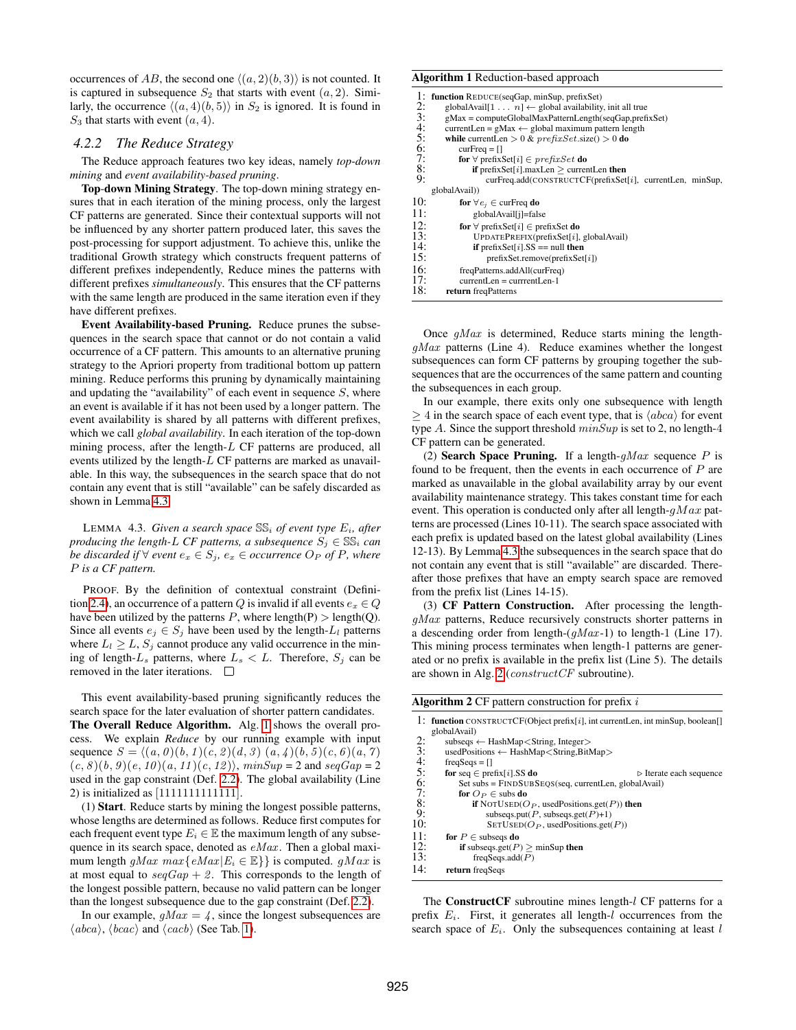occurrences of AB, the second one  $\langle (a, 2)(b, 3) \rangle$  is not counted. It is captured in subsequence  $S_2$  that starts with event  $(a, 2)$ . Similarly, the occurrence  $\langle (a, 4)(b, 5) \rangle$  in  $S_2$  is ignored. It is found in  $S_3$  that starts with event  $(a, 4)$ .

## <span id="page-5-0"></span>*4.2.2 The Reduce Strategy*

The Reduce approach features two key ideas, namely *top*-*down mining* and *event availability-based pruning*.

Top-down Mining Strategy. The top-down mining strategy ensures that in each iteration of the mining process, only the largest CF patterns are generated. Since their contextual supports will not be influenced by any shorter pattern produced later, this saves the post-processing for support adjustment. To achieve this, unlike the traditional Growth strategy which constructs frequent patterns of different prefixes independently, Reduce mines the patterns with different prefixes *simultaneously*. This ensures that the CF patterns with the same length are produced in the same iteration even if they have different prefixes.

Event Availability-based Pruning. Reduce prunes the subsequences in the search space that cannot or do not contain a valid occurrence of a CF pattern. This amounts to an alternative pruning strategy to the Apriori property from traditional bottom up pattern mining. Reduce performs this pruning by dynamically maintaining and updating the "availability" of each event in sequence  $S$ , where an event is available if it has not been used by a longer pattern. The event availability is shared by all patterns with different prefixes, which we call *global availability*. In each iteration of the top-down mining process, after the length-L CF patterns are produced, all events utilized by the length-L CF patterns are marked as unavailable. In this way, the subsequences in the search space that do not contain any event that is still "available" can be safely discarded as shown in Lemma [4.3.](#page-5-1)

<span id="page-5-1"></span>LEMMA 4.3. *Given a search space*  $SS_i$  *of event type*  $E_i$ *, after producing the length-L CF patterns, a subsequence*  $S_i \in \mathbb{SS}_i$  *can be discarded if*  $∀$  *event*  $e_x ∈ S_i$ *,*  $e_x ∈$  *occurrence*  $O_P$  *of*  $P$ *, where* P *is a CF pattern.*

PROOF. By the definition of contextual constraint (Defini-tion [2.4\)](#page-2-3), an occurrence of a pattern Q is invalid if all events  $e_x \in Q$ have been utilized by the patterns P, where length(P) > length(Q). Since all events  $e_i \in S_i$  have been used by the length- $L_i$  patterns where  $L_l \geq L$ ,  $S_j$  cannot produce any valid occurrence in the mining of length- $L_s$  patterns, where  $L_s < L$ . Therefore,  $S_j$  can be removed in the later iterations.  $\Box$ 

This event availability-based pruning significantly reduces the search space for the later evaluation of shorter pattern candidates. The Overall Reduce Algorithm. Alg. [1](#page-5-2) shows the overall process. We explain *Reduce* by our running example with input sequence  $S = \langle (a, 0) (b, 1) (c, 2) (d, 3) (a, 4) (b, 5) (c, 6) (a, 7) \rangle$  $(c, 8)(b, 9)(e, 10)(a, 11)(c, 12)$ ,  $minSup = 2$  and  $seqGap = 2$ used in the gap constraint (Def. [2.2\)](#page-2-4). The global availability (Line 2) is initialized as [1111111111111].

(1) Start. Reduce starts by mining the longest possible patterns, whose lengths are determined as follows. Reduce first computes for each frequent event type  $E_i \in \mathbb{E}$  the maximum length of any subsequence in its search space, denoted as  $eMax$ . Then a global maximum length gMax  $max\{eMax | E_i \in \mathbb{E}\}\$  is computed. gMax is at most equal to  $seqGap + 2$ . This corresponds to the length of the longest possible pattern, because no valid pattern can be longer than the longest subsequence due to the gap constraint (Def. [2.2\)](#page-2-4).

In our example,  $gMax = 4$ , since the longest subsequences are  $\langle abca \rangle$ ,  $\langle bcac \rangle$  and  $\langle cacb \rangle$  (See Tab. [1\)](#page-4-4).

#### <span id="page-5-2"></span>Algorithm 1 Reduction-based approach

|              | 1: function REDUCE(seqGap, minSup, prefixSet)                            |
|--------------|--------------------------------------------------------------------------|
|              | globalAvail $[1 \ldots n] \leftarrow$ global availability, init all true |
|              | $gMax = computeGlobalMaxPatternLength (seqGap, prefixSet)$               |
|              | currentLen = $gMax \leftarrow global$ maximum pattern length             |
| 2:3:4:5:6:7: | while currentLen $> 0$ & prefixSet.size() $> 0$ do                       |
|              | $curFreq = \Box$                                                         |
|              | <b>for</b> $\forall$ prefixSet[i] $\in$ prefixSet <b>do</b>              |
| $\dot{8}$    | <b>if</b> prefixSet[ $i$ ].maxLen > currentLen <b>then</b>               |
| 9:           | curFreq.add(CONSTRUCTCF(prefixSet[i], currentLen, minSup,                |
|              | globalAvail)                                                             |
| 10:          | for $\forall e_i \in \text{curl}$ req do                                 |
| 11:          | globalAvail[j]=false                                                     |
| 12:          | <b>for</b> $\forall$ prefixSet[i] $\in$ prefixSet <b>do</b>              |
| 13:          | $UPDATEPREFIX (prefixSet[i], globalAvailable)$                           |
| 14:          | if prefixSet[i].SS == null then                                          |
| 15:          | $prefixSet$ .remove( $prefixSet[i]$ )                                    |
| 16:          | freqPatterns.addAll(curFreq)                                             |
| 17:          | $currentLen = currentLen-1$                                              |
| 18:          | return freqPatterns                                                      |

Once  $qMax$  is determined, Reduce starts mining the length $qMax$  patterns (Line 4). Reduce examines whether the longest subsequences can form CF patterns by grouping together the subsequences that are the occurrences of the same pattern and counting the subsequences in each group.

In our example, there exits only one subsequence with length  $\geq 4$  in the search space of each event type, that is  $\langle abca \rangle$  for event type A. Since the support threshold  $minSup$  is set to 2, no length-4 CF pattern can be generated.

(2) Search Space Pruning. If a length- $gMax$  sequence P is found to be frequent, then the events in each occurrence of  $P$  are marked as unavailable in the global availability array by our event availability maintenance strategy. This takes constant time for each event. This operation is conducted only after all length- $qMax$  patterns are processed (Lines 10-11). The search space associated with each prefix is updated based on the latest global availability (Lines 12-13). By Lemma [4.3](#page-5-1) the subsequences in the search space that do not contain any event that is still "available" are discarded. Thereafter those prefixes that have an empty search space are removed from the prefix list (Lines 14-15).

(3) CF Pattern Construction. After processing the lengthgMax patterns, Reduce recursively constructs shorter patterns in a descending order from length- $(gMax-1)$  to length-1 (Line 17). This mining process terminates when length-1 patterns are generated or no prefix is available in the prefix list (Line 5). The details are shown in Alg. [2](#page-5-3) (constructCF subroutine).

<span id="page-5-3"></span>

|  | <b>Algorithm 2</b> CF pattern construction for prefix $i$ |  |
|--|-----------------------------------------------------------|--|
|--|-----------------------------------------------------------|--|

| globalAvail)<br>2:<br>subseqs $\leftarrow$ HashMap $\lt$ String, Integer $>$<br>3:<br>usedPositions $\leftarrow$ HashMap $\lt$ String,BitMap $>$<br>$rac{4}{5}$<br>$freqSeg = []$<br>for seq $\in$ prefix[i].SS do<br>6:<br>$Set$ subs = $FINDSUBSEOS(seq, currentLen, globalAvailable)$<br>7:<br>for $O_P \in$ subs do<br>8:<br><b>if</b> NOTUSED( $O_P$ , usedPositions.get(P)) then<br>9:<br>subseqs.put( $P$ , subseqs.get( $P$ )+1)<br>10:<br>$SETUseD(O_P, usedPositions.get(P))$<br>11:<br>for $P \in$ subseqs do<br>12:<br>if subseqs.get( $P$ ) > minSup then<br>13:<br>freqSeqs.add $(P)$<br>14:<br>return freqSeqs | 1: function CONSTRUCTCF(Object prefix[i], int currentLen, int minSup, boolean. |
|-------------------------------------------------------------------------------------------------------------------------------------------------------------------------------------------------------------------------------------------------------------------------------------------------------------------------------------------------------------------------------------------------------------------------------------------------------------------------------------------------------------------------------------------------------------------------------------------------------------------------------|--------------------------------------------------------------------------------|
|                                                                                                                                                                                                                                                                                                                                                                                                                                                                                                                                                                                                                               |                                                                                |
|                                                                                                                                                                                                                                                                                                                                                                                                                                                                                                                                                                                                                               |                                                                                |
|                                                                                                                                                                                                                                                                                                                                                                                                                                                                                                                                                                                                                               |                                                                                |
|                                                                                                                                                                                                                                                                                                                                                                                                                                                                                                                                                                                                                               |                                                                                |
|                                                                                                                                                                                                                                                                                                                                                                                                                                                                                                                                                                                                                               | $\triangleright$ Iterate each sequence                                         |
|                                                                                                                                                                                                                                                                                                                                                                                                                                                                                                                                                                                                                               |                                                                                |
|                                                                                                                                                                                                                                                                                                                                                                                                                                                                                                                                                                                                                               |                                                                                |
|                                                                                                                                                                                                                                                                                                                                                                                                                                                                                                                                                                                                                               |                                                                                |
|                                                                                                                                                                                                                                                                                                                                                                                                                                                                                                                                                                                                                               |                                                                                |
|                                                                                                                                                                                                                                                                                                                                                                                                                                                                                                                                                                                                                               |                                                                                |
|                                                                                                                                                                                                                                                                                                                                                                                                                                                                                                                                                                                                                               |                                                                                |
|                                                                                                                                                                                                                                                                                                                                                                                                                                                                                                                                                                                                                               |                                                                                |
|                                                                                                                                                                                                                                                                                                                                                                                                                                                                                                                                                                                                                               |                                                                                |
|                                                                                                                                                                                                                                                                                                                                                                                                                                                                                                                                                                                                                               |                                                                                |

The ConstructCF subroutine mines length-l CF patterns for a prefix  $E_i$ . First, it generates all length-l occurrences from the search space of  $E_i$ . Only the subsequences containing at least l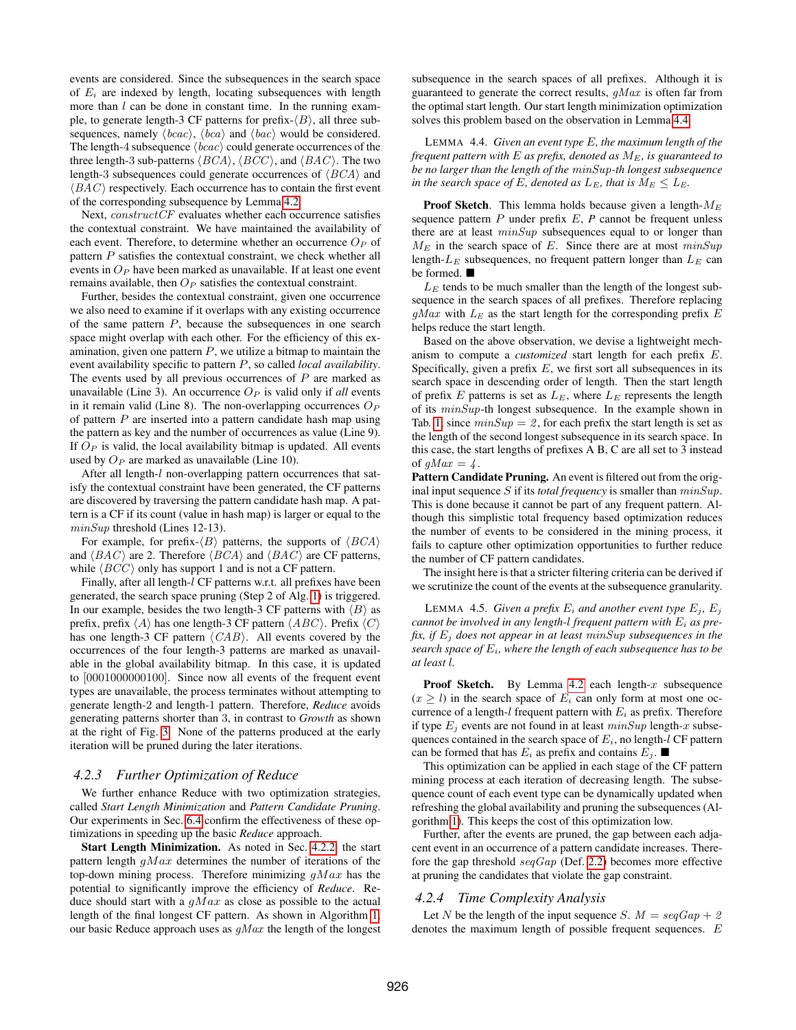events are considered. Since the subsequences in the search space of  $E_i$  are indexed by length, locating subsequences with length more than  $l$  can be done in constant time. In the running example, to generate length-3 CF patterns for prefix- $\langle B \rangle$ , all three subsequences, namely  $\langle bcac \rangle$ ,  $\langle bca \rangle$  and  $\langle bac \rangle$  would be considered. The length-4 subsequence  $\langle bcac \rangle$  could generate occurrences of the three length-3 sub-patterns  $\langle BCA \rangle$ ,  $\langle BCC \rangle$ , and  $\langle BAC \rangle$ . The two length-3 subsequences could generate occurrences of  $\langle BCA \rangle$  and  $\langle BAC \rangle$  respectively. Each occurrence has to contain the first event of the corresponding subsequence by Lemma [4.2.](#page-4-3)

Next, *constructCF* evaluates whether each occurrence satisfies the contextual constraint. We have maintained the availability of each event. Therefore, to determine whether an occurrence  $O_P$  of pattern  $P$  satisfies the contextual constraint, we check whether all events in  $O_P$  have been marked as unavailable. If at least one event remains available, then  $O_P$  satisfies the contextual constraint.

Further, besides the contextual constraint, given one occurrence we also need to examine if it overlaps with any existing occurrence of the same pattern  $P$ , because the subsequences in one search space might overlap with each other. For the efficiency of this examination, given one pattern  $P$ , we utilize a bitmap to maintain the event availability specific to pattern P, so called *local availability*. The events used by all previous occurrences of  $P$  are marked as unavailable (Line 3). An occurrence  $O_P$  is valid only if *all* events in it remain valid (Line 8). The non-overlapping occurrences  $O_P$ of pattern  $P$  are inserted into a pattern candidate hash map using the pattern as key and the number of occurrences as value (Line 9). If  $O_P$  is valid, the local availability bitmap is updated. All events used by  $O_P$  are marked as unavailable (Line 10).

After all length-l non-overlapping pattern occurrences that satisfy the contextual constraint have been generated, the CF patterns are discovered by traversing the pattern candidate hash map. A pattern is a CF if its count (value in hash map) is larger or equal to the minSup threshold (Lines 12-13).

For example, for prefix- $\langle B \rangle$  patterns, the supports of  $\langle BCA \rangle$ and  $\langle BAC \rangle$  are 2. Therefore  $\langle BCA \rangle$  and  $\langle BAC \rangle$  are CF patterns, while  $\langle BCC \rangle$  only has support 1 and is not a CF pattern.

Finally, after all length-l CF patterns w.r.t. all prefixes have been generated, the search space pruning (Step 2 of Alg. [1\)](#page-5-2) is triggered. In our example, besides the two length-3 CF patterns with  $\langle B \rangle$  as prefix, prefix  $\langle A \rangle$  has one length-3 CF pattern  $\langle ABC \rangle$ . Prefix  $\langle C \rangle$ has one length-3 CF pattern  $\langle CAB \rangle$ . All events covered by the occurrences of the four length-3 patterns are marked as unavailable in the global availability bitmap. In this case, it is updated to [0001000000100]. Since now all events of the frequent event types are unavailable, the process terminates without attempting to generate length-2 and length-1 pattern. Therefore, *Reduce* avoids generating patterns shorter than 3, in contrast to *Growth* as shown at the right of Fig. [3.](#page-4-1) None of the patterns produced at the early iteration will be pruned during the later iterations.

#### *4.2.3 Further Optimization of Reduce*

We further enhance Reduce with two optimization strategies, called *Start Length Minimization* and *Pattern Candidate Pruning*. Our experiments in Sec. [6.4](#page-10-1) confirm the effectiveness of these optimizations in speeding up the basic *Reduce* approach.

Start Length Minimization. As noted in Sec. [4.2.2,](#page-5-0) the start pattern length  $qMax$  determines the number of iterations of the top-down mining process. Therefore minimizing  $gMax$  has the potential to significantly improve the efficiency of *Reduce*. Reduce should start with a  $gMax$  as close as possible to the actual length of the final longest CF pattern. As shown in Algorithm [1,](#page-5-2) our basic Reduce approach uses as  $qMax$  the length of the longest subsequence in the search spaces of all prefixes. Although it is guaranteed to generate the correct results,  $gMax$  is often far from the optimal start length. Our start length minimization optimization solves this problem based on the observation in Lemma [4.4.](#page-6-0)

<span id="page-6-0"></span>LEMMA 4.4. *Given an event type* E*, the maximum length of the frequent pattern with* E *as prefix, denoted as* ME*, is guaranteed to be no larger than the length of the* minSup*-th longest subsequence in the search space of E, denoted as*  $L_E$ *, that is*  $M_E \leq L_E$ *.* 

**Proof Sketch.** This lemma holds because given a length- $M_E$ sequence pattern P under prefix E, *P* cannot be frequent unless there are at least  $minSup$  subsequences equal to or longer than  $M_E$  in the search space of E. Since there are at most  $minSup$ length- $L_E$  subsequences, no frequent pattern longer than  $L_E$  can be formed.

 $L<sub>E</sub>$  tends to be much smaller than the length of the longest subsequence in the search spaces of all prefixes. Therefore replacing  $gMax$  with  $L<sub>E</sub>$  as the start length for the corresponding prefix E helps reduce the start length.

Based on the above observation, we devise a lightweight mechanism to compute a *customized* start length for each prefix E. Specifically, given a prefix  $E$ , we first sort all subsequences in its search space in descending order of length. Then the start length of prefix E patterns is set as  $L_E$ , where  $L_E$  represents the length of its minSup-th longest subsequence. In the example shown in Tab. [1,](#page-4-4) since  $minSup = 2$ , for each prefix the start length is set as the length of the second longest subsequence in its search space. In this case, the start lengths of prefixes A B, C are all set to 3 instead of  $qMax = 4$ .

Pattern Candidate Pruning. An event is filtered out from the original input sequence S if its *total frequency* is smaller than  $minSup$ . This is done because it cannot be part of any frequent pattern. Although this simplistic total frequency based optimization reduces the number of events to be considered in the mining process, it fails to capture other optimization opportunities to further reduce the number of CF pattern candidates.

The insight here is that a stricter filtering criteria can be derived if we scrutinize the count of the events at the subsequence granularity.

LEMMA 4.5. *Given a prefix*  $E_i$  *and another event type*  $E_j$ ,  $E_j$ *cannot be involved in any length-l frequent pattern with*  $E_i$  *as prefix, if*  $E_i$  *does not appear in at least minSup subsequences in the search space of* Ei*, where the length of each subsequence has to be at least* l*.*

**Proof Sketch.** By Lemma [4.2](#page-4-3) each length- $x$  subsequence  $(x \ge l)$  in the search space of  $E_i$  can only form at most one occurrence of a length-l frequent pattern with  $E_i$  as prefix. Therefore if type  $E_j$  events are not found in at least  $minSup$  length-x subsequences contained in the search space of  $E_i$ , no length-l CF pattern can be formed that has  $E_i$  as prefix and contains  $E_j$ .

This optimization can be applied in each stage of the CF pattern mining process at each iteration of decreasing length. The subsequence count of each event type can be dynamically updated when refreshing the global availability and pruning the subsequences (Algorithm [1\)](#page-5-2). This keeps the cost of this optimization low.

Further, after the events are pruned, the gap between each adjacent event in an occurrence of a pattern candidate increases. Therefore the gap threshold  $seqGap$  (Def. [2.2\)](#page-2-4) becomes more effective at pruning the candidates that violate the gap constraint.

## <span id="page-6-1"></span>*4.2.4 Time Complexity Analysis*

Let N be the length of the input sequence S.  $M = \text{seqGap} + 2$ denotes the maximum length of possible frequent sequences. E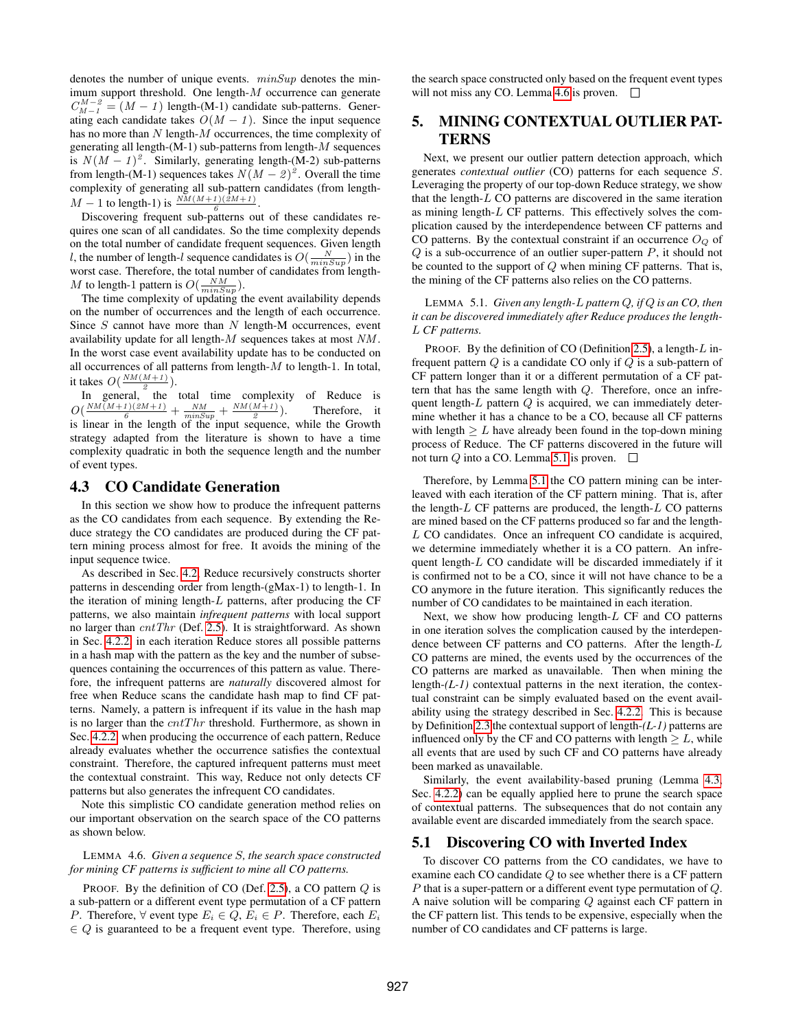denotes the number of unique events.  $minSup$  denotes the minimum support threshold. One length-M occurrence can generate  $C_{M-1}^{M-2} = (M - 1)$  length-(M-1) candidate sub-patterns. Generating each candidate takes  $O(M - 1)$ . Since the input sequence has no more than  $N$  length- $M$  occurrences, the time complexity of generating all length- $(M-1)$  sub-patterns from length- $M$  sequences is  $N(M-1)^2$ . Similarly, generating length-(M-2) sub-patterns from length-(M-1) sequences takes  $N(M-2)^2$ . Overall the time complexity of generating all sub-pattern candidates (from length- $M - 1$  to length-1) is  $\frac{NM(M+1)(2M+1)}{6}$ .

Discovering frequent sub-patterns out of these candidates requires one scan of all candidates. So the time complexity depends on the total number of candidate frequent sequences. Given length *l*, the number of length-*l* sequence candidates is  $O(\frac{N}{minSupp})$  in the worst case. Therefore, the total number of candidates from length-M to length-1 pattern is  $O(\frac{NM}{minSup}).$ 

The time complexity of updating the event availability depends on the number of occurrences and the length of each occurrence. Since  $S$  cannot have more than  $N$  length-M occurrences, event availability update for all length-M sequences takes at most NM . In the worst case event availability update has to be conducted on all occurrences of all patterns from length- $M$  to length-1. In total, it takes  $O(\frac{NM(M+1)}{2})$ .

In general,  $\int_a^b$  the total time complexity of Reduce is  $O(\frac{NM(M+1)(2M+1)}{6} + \frac{NM}{minSup} + \frac{NM(M+1)}{2})$ ). Therefore, it is linear in the length of the input sequence, while the Growth strategy adapted from the literature is shown to have a time complexity quadratic in both the sequence length and the number of event types.

## <span id="page-7-0"></span>4.3 CO Candidate Generation

In this section we show how to produce the infrequent patterns as the CO candidates from each sequence. By extending the Reduce strategy the CO candidates are produced during the CF pattern mining process almost for free. It avoids the mining of the input sequence twice.

As described in Sec. [4.2,](#page-4-0) Reduce recursively constructs shorter patterns in descending order from length-(gMax-1) to length-1. In the iteration of mining length- $L$  patterns, after producing the CF patterns, we also maintain *infrequent patterns* with local support no larger than  $cntThr$  (Def. [2.5\)](#page-2-2). It is straightforward. As shown in Sec. [4.2.2,](#page-5-0) in each iteration Reduce stores all possible patterns in a hash map with the pattern as the key and the number of subsequences containing the occurrences of this pattern as value. Therefore, the infrequent patterns are *naturally* discovered almost for free when Reduce scans the candidate hash map to find CF patterns. Namely, a pattern is infrequent if its value in the hash map is no larger than the  $cntThr$  threshold. Furthermore, as shown in Sec. [4.2.2,](#page-5-0) when producing the occurrence of each pattern, Reduce already evaluates whether the occurrence satisfies the contextual constraint. Therefore, the captured infrequent patterns must meet the contextual constraint. This way, Reduce not only detects CF patterns but also generates the infrequent CO candidates.

Note this simplistic CO candidate generation method relies on our important observation on the search space of the CO patterns as shown below.

## <span id="page-7-2"></span>LEMMA 4.6. *Given a sequence* S*, the search space constructed for mining CF patterns is sufficient to mine all CO patterns.*

PROOF. By the definition of CO (Def. [2.5\)](#page-2-2), a CO pattern  $Q$  is a sub-pattern or a different event type permutation of a CF pattern *P*. Therefore,  $\forall$  event type  $E_i \in Q$ ,  $E_i \in P$ . Therefore, each  $E_i$  $\in Q$  is guaranteed to be a frequent event type. Therefore, using the search space constructed only based on the frequent event types will not miss any CO. Lemma [4.6](#page-7-2) is proven.  $\Box$ 

# <span id="page-7-1"></span>5. MINING CONTEXTUAL OUTLIER PAT-TERNS

Next, we present our outlier pattern detection approach, which generates *contextual outlier* (CO) patterns for each sequence S. Leveraging the property of our top-down Reduce strategy, we show that the length-L CO patterns are discovered in the same iteration as mining length-L CF patterns. This effectively solves the complication caused by the interdependence between CF patterns and CO patterns. By the contextual constraint if an occurrence  $O_Q$  of  $Q$  is a sub-occurrence of an outlier super-pattern  $P$ , it should not be counted to the support of Q when mining CF patterns. That is, the mining of the CF patterns also relies on the CO patterns.

<span id="page-7-3"></span>LEMMA 5.1. *Given any length-*L *pattern* Q*, if* Q *is an CO, then it can be discovered immediately after Reduce produces the length-*L *CF patterns.*

PROOF. By the definition of CO (Definition [2.5\)](#page-2-2), a length-L infrequent pattern  $Q$  is a candidate CO only if  $Q$  is a sub-pattern of CF pattern longer than it or a different permutation of a CF pattern that has the same length with  $Q$ . Therefore, once an infrequent length- $L$  pattern  $Q$  is acquired, we can immediately determine whether it has a chance to be a CO, because all CF patterns with length  $\geq L$  have already been found in the top-down mining process of Reduce. The CF patterns discovered in the future will not turn  $Q$  into a CO. Lemma [5.1](#page-7-3) is proven.  $\Box$ 

Therefore, by Lemma [5.1](#page-7-3) the CO pattern mining can be interleaved with each iteration of the CF pattern mining. That is, after the length- $L$  CF patterns are produced, the length- $L$  CO patterns are mined based on the CF patterns produced so far and the length-L CO candidates. Once an infrequent CO candidate is acquired, we determine immediately whether it is a CO pattern. An infrequent length-L CO candidate will be discarded immediately if it is confirmed not to be a CO, since it will not have chance to be a CO anymore in the future iteration. This significantly reduces the number of CO candidates to be maintained in each iteration.

Next, we show how producing length- $L$  CF and CO patterns in one iteration solves the complication caused by the interdependence between CF patterns and CO patterns. After the length-L CO patterns are mined, the events used by the occurrences of the CO patterns are marked as unavailable. Then when mining the length-*(L-1)* contextual patterns in the next iteration, the contextual constraint can be simply evaluated based on the event availability using the strategy described in Sec. [4.2.2.](#page-5-0) This is because by Definition [2.3](#page-2-1) the contextual support of length-*(L-1)* patterns are influenced only by the CF and CO patterns with length  $\geq L$ , while all events that are used by such CF and CO patterns have already been marked as unavailable.

Similarly, the event availability-based pruning (Lemma [4.3,](#page-5-1) Sec. [4.2.2\)](#page-5-0) can be equally applied here to prune the search space of contextual patterns. The subsequences that do not contain any available event are discarded immediately from the search space.

## 5.1 Discovering CO with Inverted Index

To discover CO patterns from the CO candidates, we have to examine each CO candidate Q to see whether there is a CF pattern P that is a super-pattern or a different event type permutation of Q. A naive solution will be comparing Q against each CF pattern in the CF pattern list. This tends to be expensive, especially when the number of CO candidates and CF patterns is large.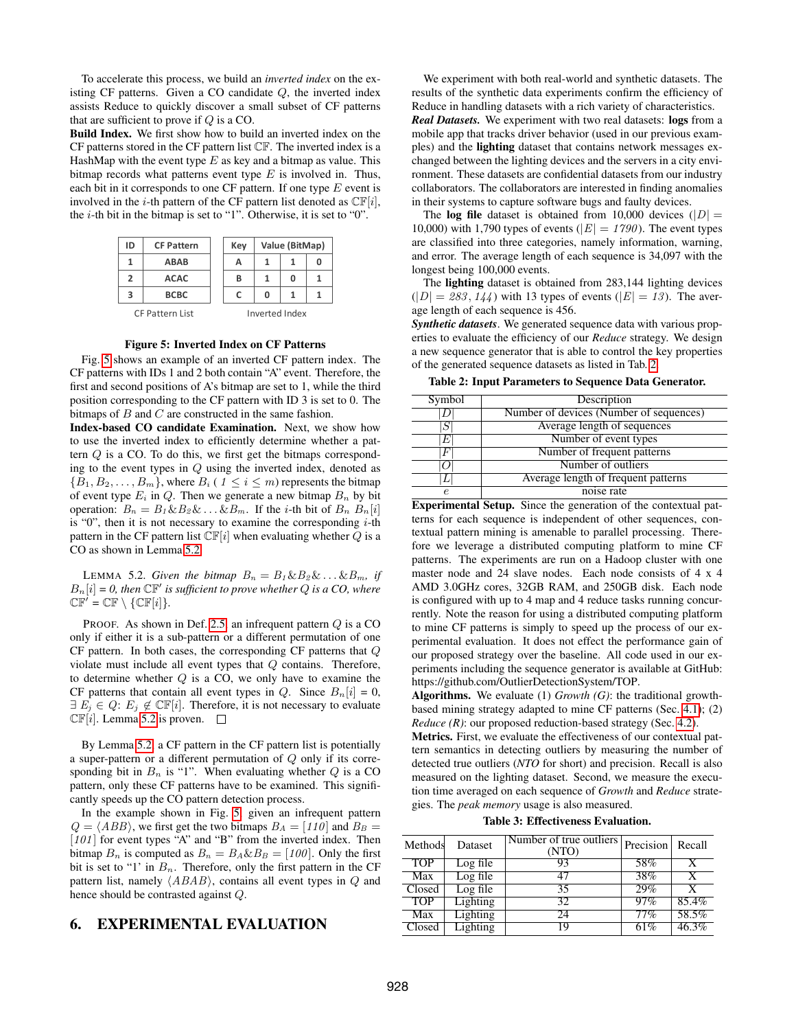To accelerate this process, we build an *inverted index* on the existing CF patterns. Given a CO candidate Q, the inverted index assists Reduce to quickly discover a small subset of CF patterns that are sufficient to prove if  $Q$  is a CO.

Build Index. We first show how to build an inverted index on the CF patterns stored in the CF pattern list CF. The inverted index is a HashMap with the event type  $E$  as key and a bitmap as value. This bitmap records what patterns event type  $E$  is involved in. Thus, each bit in it corresponds to one CF pattern. If one type  $E$  event is involved in the *i*-th pattern of the CF pattern list denoted as  $CF[i]$ , the  $i$ -th bit in the bitmap is set to "1". Otherwise, it is set to "0".

<span id="page-8-0"></span>

#### Figure 5: Inverted Index on CF Patterns

Fig. [5](#page-8-0) shows an example of an inverted CF pattern index. The CF patterns with IDs 1 and 2 both contain "A" event. Therefore, the first and second positions of A's bitmap are set to 1, while the third position corresponding to the CF pattern with ID 3 is set to 0. The bitmaps of  $B$  and  $C$  are constructed in the same fashion.

Index-based CO candidate Examination. Next, we show how to use the inverted index to efficiently determine whether a pattern Q is a CO. To do this, we first get the bitmaps corresponding to the event types in Q using the inverted index, denoted as  ${B_1, B_2, \ldots, B_m}$ , where  $B_i$  (  $1 \leq i \leq m$ ) represents the bitmap of event type  $E_i$  in Q. Then we generate a new bitmap  $B_n$  by bit operation:  $B_n = B_1 \& B_2 \& \dots \& B_m$ . If the *i*-th bit of  $B_n B_n[i]$ is "0", then it is not necessary to examine the corresponding  $i$ -th pattern in the CF pattern list  $\mathbb{CF}[i]$  when evaluating whether  $Q$  is a CO as shown in Lemma [5.2.](#page-8-1)

<span id="page-8-1"></span>LEMMA 5.2. *Given the bitmap*  $B_n = B_1 \& B_2 \& \dots \& B_m$ *, if*  $B_n[i] = 0$ , then  $\mathbb{CF}'$  is sufficient to prove whether Q is a CO, where  $CF' = CF \setminus \{CF[i]\}.$ 

PROOF. As shown in Def. [2.5,](#page-2-2) an infrequent pattern  $Q$  is a CO only if either it is a sub-pattern or a different permutation of one CF pattern. In both cases, the corresponding CF patterns that Q violate must include all event types that Q contains. Therefore, to determine whether  $Q$  is a CO, we only have to examine the CF patterns that contain all event types in Q. Since  $B_n[i] = 0$ ,  $\exists E_j \in Q: E_j \notin \mathbb{C}F[i]$ . Therefore, it is not necessary to evaluate  $\mathbb{CF}[i]$ . Lemma [5.2](#page-8-1) is proven.  $\Box$ 

By Lemma [5.2,](#page-8-1) a CF pattern in the CF pattern list is potentially a super-pattern or a different permutation of Q only if its corresponding bit in  $B_n$  is "1". When evaluating whether  $Q$  is a CO pattern, only these CF patterns have to be examined. This significantly speeds up the CO pattern detection process.

In the example shown in Fig. [5,](#page-8-0) given an infrequent pattern  $Q = \langle ABB \rangle$ , we first get the two bitmaps  $B_A = [110]$  and  $B_B =$  $[101]$  for event types "A" and "B" from the inverted index. Then bitmap  $B_n$  is computed as  $B_n = B_A \& B_B = [100]$ . Only the first bit is set to "1' in  $B_n$ . Therefore, only the first pattern in the CF pattern list, namely  $\langle ABAB \rangle$ , contains all event types in Q and hence should be contrasted against Q.

# 6. EXPERIMENTAL EVALUATION

We experiment with both real-world and synthetic datasets. The results of the synthetic data experiments confirm the efficiency of Reduce in handling datasets with a rich variety of characteristics.

*Real Datasets.* We experiment with two real datasets: logs from a mobile app that tracks driver behavior (used in our previous examples) and the lighting dataset that contains network messages exchanged between the lighting devices and the servers in a city environment. These datasets are confidential datasets from our industry collaborators. The collaborators are interested in finding anomalies in their systems to capture software bugs and faulty devices.

The log file dataset is obtained from 10,000 devices ( $|D|$  = 10,000) with 1,790 types of events ( $|E| = 1790$ ). The event types are classified into three categories, namely information, warning, and error. The average length of each sequence is 34,097 with the longest being 100,000 events.

The lighting dataset is obtained from 283,144 lighting devices  $(|D| = 283, 144)$  with 13 types of events  $(|E| = 13)$ . The average length of each sequence is 456.

*Synthetic datasets*. We generated sequence data with various properties to evaluate the efficiency of our *Reduce* strategy. We design a new sequence generator that is able to control the key properties of the generated sequence datasets as listed in Tab. [2.](#page-8-2)

<span id="page-8-2"></span>Table 2: Input Parameters to Sequence Data Generator.

| Symbol | Description                             |
|--------|-----------------------------------------|
|        | Number of devices (Number of sequences) |
| S      | Average length of sequences             |
| E      | Number of event types                   |
| F      | Number of frequent patterns             |
|        | Number of outliers                      |
|        | Average length of frequent patterns     |
| P.     | noise rate                              |

Experimental Setup. Since the generation of the contextual patterns for each sequence is independent of other sequences, contextual pattern mining is amenable to parallel processing. Therefore we leverage a distributed computing platform to mine CF patterns. The experiments are run on a Hadoop cluster with one master node and 24 slave nodes. Each node consists of 4 x 4 AMD 3.0GHz cores, 32GB RAM, and 250GB disk. Each node is configured with up to 4 map and 4 reduce tasks running concurrently. Note the reason for using a distributed computing platform to mine CF patterns is simply to speed up the process of our experimental evaluation. It does not effect the performance gain of our proposed strategy over the baseline. All code used in our experiments including the sequence generator is available at GitHub: https://github.com/OutlierDetectionSystem/TOP.

Algorithms. We evaluate (1) *Growth (G)*: the traditional growthbased mining strategy adapted to mine CF patterns (Sec. [4.1\)](#page-3-1); (2) *Reduce (R)*: our proposed reduction-based strategy (Sec. [4.2\)](#page-4-0).

Metrics. First, we evaluate the effectiveness of our contextual pattern semantics in detecting outliers by measuring the number of detected true outliers (*NTO* for short) and precision. Recall is also measured on the lighting dataset. Second, we measure the execution time averaged on each sequence of *Growth* and *Reduce* strategies. The *peak memory* usage is also measured.

Table 3: Effectiveness Evaluation.

<span id="page-8-3"></span>

| Methods    | Dataset         | Number of true outliers<br>(NTO) | Precision Recall |       |
|------------|-----------------|----------------------------------|------------------|-------|
| <b>TOP</b> | Log file        | 93                               | 58%              |       |
| Max        | Log file        | 47                               | 38%              |       |
| Closed     | Log file        | 35                               | 29%              |       |
| <b>TOP</b> | <b>Lighting</b> | 32                               | 97%              | 85.4% |
| Max        | Lighting        | 24                               | 77%              | 58.5% |
| Closed     | Lighting        | 19                               | 61%              | 46.3% |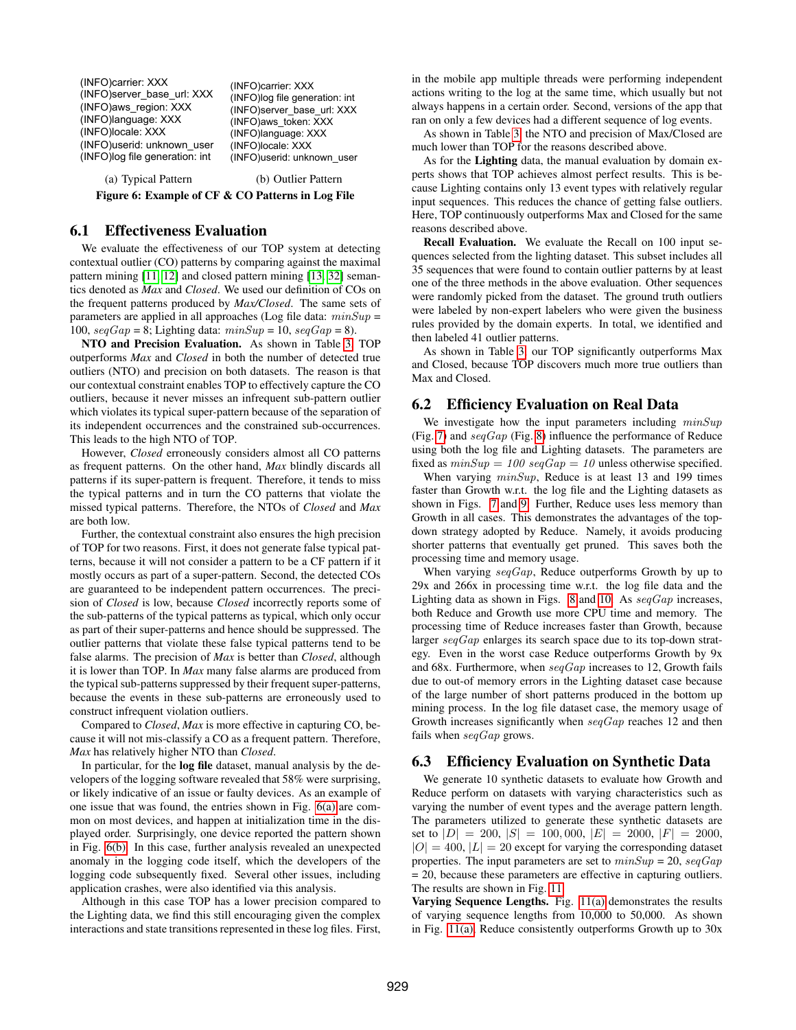<span id="page-9-0"></span>(INFO)carrier: XXX (INFO)server\_base\_url: XXX (INFO)aws\_region: XXX (INFO)language: XXX (INFO)locale: XXX (INFO)userid: unknown\_user (INFO)log file generation: int

<span id="page-9-1"></span>(INFO)carrier: XXX (INFO)log file generation: int (INFO)server\_base\_url: XXX (INFO)aws\_token: XXX (INFO)language: XXX (INFO)locale: XXX (INFO)userid: unknown\_user

(a) Typical Pattern (b) Outlier Pattern Figure 6: Example of CF & CO Patterns in Log File

## 6.1 Effectiveness Evaluation

We evaluate the effectiveness of our TOP system at detecting contextual outlier (CO) patterns by comparing against the maximal pattern mining [\[11,](#page-12-5) [12\]](#page-12-6) and closed pattern mining [\[13,](#page-12-3) [32\]](#page-12-4) semantics denoted as *Max* and *Closed*. We used our definition of COs on the frequent patterns produced by *Max/Closed*. The same sets of parameters are applied in all approaches (Log file data:  $minSup =$ 100,  $seqGap = 8$ ; Lighting data:  $minSup = 10$ ,  $seqGap = 8$ ).

NTO and Precision Evaluation. As shown in Table [3,](#page-8-3) TOP outperforms *Max* and *Closed* in both the number of detected true outliers (NTO) and precision on both datasets. The reason is that our contextual constraint enables TOP to effectively capture the CO outliers, because it never misses an infrequent sub-pattern outlier which violates its typical super-pattern because of the separation of its independent occurrences and the constrained sub-occurrences. This leads to the high NTO of TOP.

However, *Closed* erroneously considers almost all CO patterns as frequent patterns. On the other hand, *Max* blindly discards all patterns if its super-pattern is frequent. Therefore, it tends to miss the typical patterns and in turn the CO patterns that violate the missed typical patterns. Therefore, the NTOs of *Closed* and *Max* are both low.

Further, the contextual constraint also ensures the high precision of TOP for two reasons. First, it does not generate false typical patterns, because it will not consider a pattern to be a CF pattern if it mostly occurs as part of a super-pattern. Second, the detected COs are guaranteed to be independent pattern occurrences. The precision of *Closed* is low, because *Closed* incorrectly reports some of the sub-patterns of the typical patterns as typical, which only occur as part of their super-patterns and hence should be suppressed. The outlier patterns that violate these false typical patterns tend to be false alarms. The precision of *Max* is better than *Closed*, although it is lower than TOP. In *Max* many false alarms are produced from the typical sub-patterns suppressed by their frequent super-patterns, because the events in these sub-patterns are erroneously used to construct infrequent violation outliers.

Compared to *Closed*, *Max* is more effective in capturing CO, because it will not mis-classify a CO as a frequent pattern. Therefore, *Max* has relatively higher NTO than *Closed*.

In particular, for the log file dataset, manual analysis by the developers of the logging software revealed that 58% were surprising, or likely indicative of an issue or faulty devices. As an example of one issue that was found, the entries shown in Fig. [6\(a\)](#page-9-0) are common on most devices, and happen at initialization time in the displayed order. Surprisingly, one device reported the pattern shown in Fig. [6\(b\).](#page-9-1) In this case, further analysis revealed an unexpected anomaly in the logging code itself, which the developers of the logging code subsequently fixed. Several other issues, including application crashes, were also identified via this analysis.

Although in this case TOP has a lower precision compared to the Lighting data, we find this still encouraging given the complex interactions and state transitions represented in these log files. First,

in the mobile app multiple threads were performing independent actions writing to the log at the same time, which usually but not always happens in a certain order. Second, versions of the app that ran on only a few devices had a different sequence of log events.

As shown in Table [3,](#page-8-3) the NTO and precision of Max/Closed are much lower than TOP for the reasons described above.

As for the Lighting data, the manual evaluation by domain experts shows that TOP achieves almost perfect results. This is because Lighting contains only 13 event types with relatively regular input sequences. This reduces the chance of getting false outliers. Here, TOP continuously outperforms Max and Closed for the same reasons described above.

Recall Evaluation. We evaluate the Recall on 100 input sequences selected from the lighting dataset. This subset includes all 35 sequences that were found to contain outlier patterns by at least one of the three methods in the above evaluation. Other sequences were randomly picked from the dataset. The ground truth outliers were labeled by non-expert labelers who were given the business rules provided by the domain experts. In total, we identified and then labeled 41 outlier patterns.

As shown in Table [3,](#page-8-3) our TOP significantly outperforms Max and Closed, because TOP discovers much more true outliers than Max and Closed.

## 6.2 Efficiency Evaluation on Real Data

We investigate how the input parameters including  $minSup$ (Fig. [7\)](#page-10-2) and  $seqGap$  (Fig. [8\)](#page-10-2) influence the performance of Reduce using both the log file and Lighting datasets. The parameters are fixed as  $minSup = 100$  seqGap = 10 unless otherwise specified.

When varying  $minSup$ , Reduce is at least 13 and 199 times faster than Growth w.r.t. the log file and the Lighting datasets as shown in Figs. [7](#page-10-2) and [9.](#page-10-3) Further, Reduce uses less memory than Growth in all cases. This demonstrates the advantages of the topdown strategy adopted by Reduce. Namely, it avoids producing shorter patterns that eventually get pruned. This saves both the processing time and memory usage.

When varying  $seqGap$ , Reduce outperforms Growth by up to 29x and 266x in processing time w.r.t. the log file data and the Lighting data as shown in Figs. [8](#page-10-2) and [10.](#page-10-3) As  $seqGap$  increases, both Reduce and Growth use more CPU time and memory. The processing time of Reduce increases faster than Growth, because larger seqGap enlarges its search space due to its top-down strategy. Even in the worst case Reduce outperforms Growth by 9x and 68x. Furthermore, when  $seqGap$  increases to 12, Growth fails due to out-of memory errors in the Lighting dataset case because of the large number of short patterns produced in the bottom up mining process. In the log file dataset case, the memory usage of Growth increases significantly when  $seqGap$  reaches 12 and then fails when  $seqGap$  grows.

## 6.3 Efficiency Evaluation on Synthetic Data

We generate 10 synthetic datasets to evaluate how Growth and Reduce perform on datasets with varying characteristics such as varying the number of event types and the average pattern length. The parameters utilized to generate these synthetic datasets are set to  $|D| = 200$ ,  $|S| = 100,000$ ,  $|E| = 2000$ ,  $|F| = 2000$ ,  $|O| = 400$ ,  $|L| = 20$  except for varying the corresponding dataset properties. The input parameters are set to  $minSup = 20$ ,  $seqGap$ = 20, because these parameters are effective in capturing outliers. The results are shown in Fig. [11.](#page-11-0)

Varying Sequence Lengths. Fig. [11\(a\)](#page-11-1) demonstrates the results of varying sequence lengths from 10,000 to 50,000. As shown in Fig. [11\(a\),](#page-11-1) Reduce consistently outperforms Growth up to 30x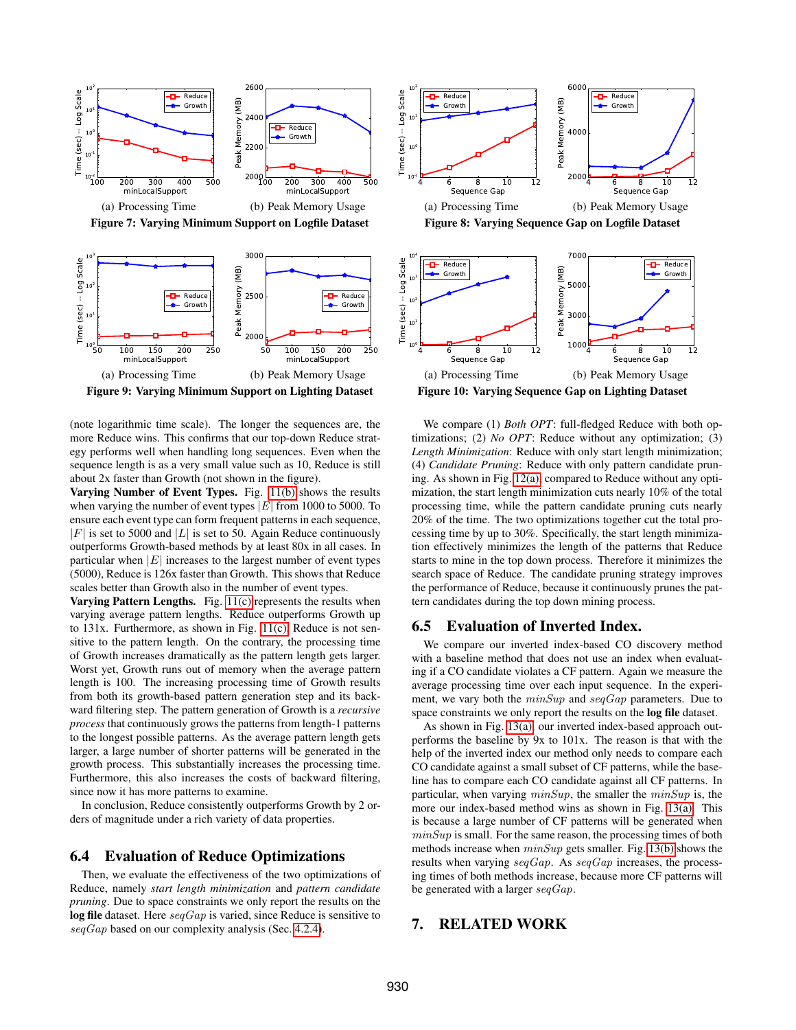<span id="page-10-2"></span>



<span id="page-10-3"></span>

Figure 9: Varying Minimum Support on Lighting Dataset

(note logarithmic time scale). The longer the sequences are, the more Reduce wins. This confirms that our top-down Reduce strategy performs well when handling long sequences. Even when the sequence length is as a very small value such as 10, Reduce is still about 2x faster than Growth (not shown in the figure).

Varying Number of Event Types. Fig. [11\(b\)](#page-11-2) shows the results when varying the number of event types  $|E|$  from 1000 to 5000. To ensure each event type can form frequent patterns in each sequence,  $|F|$  is set to 5000 and  $|L|$  is set to 50. Again Reduce continuously outperforms Growth-based methods by at least 80x in all cases. In particular when  $|E|$  increases to the largest number of event types (5000), Reduce is 126x faster than Growth. This shows that Reduce scales better than Growth also in the number of event types.

Varying Pattern Lengths. Fig. [11\(c\)](#page-11-3) represents the results when varying average pattern lengths. Reduce outperforms Growth up to 131x. Furthermore, as shown in Fig. [11\(c\),](#page-11-3) Reduce is not sensitive to the pattern length. On the contrary, the processing time of Growth increases dramatically as the pattern length gets larger. Worst yet, Growth runs out of memory when the average pattern length is 100. The increasing processing time of Growth results from both its growth-based pattern generation step and its backward filtering step. The pattern generation of Growth is a *recursive process* that continuously grows the patterns from length-1 patterns to the longest possible patterns. As the average pattern length gets larger, a large number of shorter patterns will be generated in the growth process. This substantially increases the processing time. Furthermore, this also increases the costs of backward filtering, since now it has more patterns to examine.

In conclusion, Reduce consistently outperforms Growth by 2 orders of magnitude under a rich variety of data properties.

## <span id="page-10-1"></span>6.4 Evaluation of Reduce Optimizations

Then, we evaluate the effectiveness of the two optimizations of Reduce, namely *start length minimization* and *pattern candidate pruning*. Due to space constraints we only report the results on the log file dataset. Here  $seqGap$  is varied, since Reduce is sensitive to  $seqGap$  based on our complexity analysis (Sec. [4.2.4\)](#page-6-1).







We compare (1) *Both OPT*: full-fledged Reduce with both optimizations; (2) *No OPT*: Reduce without any optimization; (3) *Length Minimization*: Reduce with only start length minimization; (4) *Candidate Pruning*: Reduce with only pattern candidate pruning. As shown in Fig. [12\(a\),](#page-11-4) compared to Reduce without any optimization, the start length minimization cuts nearly 10% of the total processing time, while the pattern candidate pruning cuts nearly 20% of the time. The two optimizations together cut the total processing time by up to 30%. Specifically, the start length minimization effectively minimizes the length of the patterns that Reduce starts to mine in the top down process. Therefore it minimizes the search space of Reduce. The candidate pruning strategy improves the performance of Reduce, because it continuously prunes the pattern candidates during the top down mining process.

## 6.5 Evaluation of Inverted Index.

We compare our inverted index-based CO discovery method with a baseline method that does not use an index when evaluating if a CO candidate violates a CF pattern. Again we measure the average processing time over each input sequence. In the experiment, we vary both the  $minSup$  and  $seqGap$  parameters. Due to space constraints we only report the results on the log file dataset.

As shown in Fig. [13\(a\),](#page-11-5) our inverted index-based approach outperforms the baseline by 9x to 101x. The reason is that with the help of the inverted index our method only needs to compare each CO candidate against a small subset of CF patterns, while the baseline has to compare each CO candidate against all CF patterns. In particular, when varying  $minSup$ , the smaller the  $minSup$  is, the more our index-based method wins as shown in Fig. [13\(a\).](#page-11-5) This is because a large number of CF patterns will be generated when  $minSup$  is small. For the same reason, the processing times of both methods increase when minSup gets smaller. Fig. [13\(b\)](#page-11-6) shows the results when varying  $seqGap$ . As  $seqGap$  increases, the processing times of both methods increase, because more CF patterns will be generated with a larger  $seqGap$ .

# <span id="page-10-0"></span>7. RELATED WORK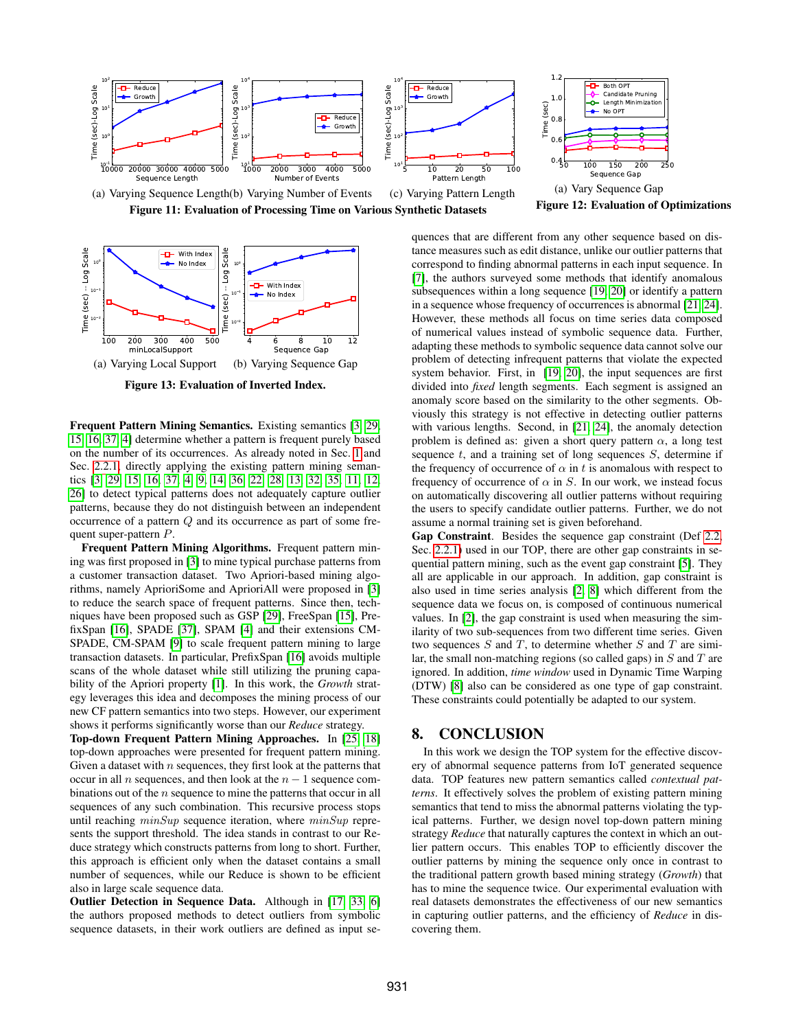<span id="page-11-1"></span><span id="page-11-0"></span>

<span id="page-11-5"></span><span id="page-11-2"></span>

<span id="page-11-6"></span>Figure 13: Evaluation of Inverted Index.

Frequent Pattern Mining Semantics. Existing semantics [\[3,](#page-12-2) [29,](#page-12-9) [15,](#page-12-10) [16,](#page-12-11) [37,](#page-12-12) [4\]](#page-12-13) determine whether a pattern is frequent purely based on the number of its occurrences. As already noted in Sec. [1](#page-0-1) and Sec. [2.2.1,](#page-2-5) directly applying the existing pattern mining semantics [\[3,](#page-12-2) [29,](#page-12-9) [15,](#page-12-10) [16,](#page-12-11) [37,](#page-12-12) [4,](#page-12-13) [9,](#page-12-14) [14,](#page-12-21) [36,](#page-12-22) [22,](#page-12-23) [28,](#page-12-24) [13,](#page-12-3) [32,](#page-12-4) [35,](#page-12-15) [11,](#page-12-5) [12,](#page-12-6) [26\]](#page-12-16) to detect typical patterns does not adequately capture outlier patterns, because they do not distinguish between an independent occurrence of a pattern Q and its occurrence as part of some frequent super-pattern P.

Frequent Pattern Mining Algorithms. Frequent pattern mining was first proposed in [\[3\]](#page-12-2) to mine typical purchase patterns from a customer transaction dataset. Two Apriori-based mining algorithms, namely AprioriSome and AprioriAll were proposed in [\[3\]](#page-12-2) to reduce the search space of frequent patterns. Since then, techniques have been proposed such as GSP [\[29\]](#page-12-9), FreeSpan [\[15\]](#page-12-10), PrefixSpan [\[16\]](#page-12-11), SPADE [\[37\]](#page-12-12), SPAM [\[4\]](#page-12-13) and their extensions CM-SPADE, CM-SPAM [\[9\]](#page-12-14) to scale frequent pattern mining to large transaction datasets. In particular, PrefixSpan [\[16\]](#page-12-11) avoids multiple scans of the whole dataset while still utilizing the pruning capability of the Apriori property [\[1\]](#page-12-1). In this work, the *Growth* strategy leverages this idea and decomposes the mining process of our new CF pattern semantics into two steps. However, our experiment shows it performs significantly worse than our *Reduce* strategy.

Top-down Frequent Pattern Mining Approaches. In [\[25,](#page-12-25) [18\]](#page-12-26) top-down approaches were presented for frequent pattern mining. Given a dataset with  $n$  sequences, they first look at the patterns that occur in all n sequences, and then look at the  $n - 1$  sequence combinations out of the  $n$  sequence to mine the patterns that occur in all sequences of any such combination. This recursive process stops until reaching  $minSup$  sequence iteration, where  $minSup$  represents the support threshold. The idea stands in contrast to our Reduce strategy which constructs patterns from long to short. Further, this approach is efficient only when the dataset contains a small number of sequences, while our Reduce is shown to be efficient also in large scale sequence data.

Outlier Detection in Sequence Data. Although in [\[17,](#page-12-27) [33,](#page-12-28) [6\]](#page-12-29) the authors proposed methods to detect outliers from symbolic sequence datasets, in their work outliers are defined as input se<span id="page-11-4"></span><span id="page-11-3"></span>quences that are different from any other sequence based on distance measures such as edit distance, unlike our outlier patterns that correspond to finding abnormal patterns in each input sequence. In [\[7\]](#page-12-30), the authors surveyed some methods that identify anomalous subsequences within a long sequence [\[19,](#page-12-31) [20\]](#page-12-32) or identify a pattern in a sequence whose frequency of occurrences is abnormal [\[21,](#page-12-33) [24\]](#page-12-34). However, these methods all focus on time series data composed of numerical values instead of symbolic sequence data. Further, adapting these methods to symbolic sequence data cannot solve our problem of detecting infrequent patterns that violate the expected system behavior. First, in [\[19,](#page-12-31) [20\]](#page-12-32), the input sequences are first divided into *fixed* length segments. Each segment is assigned an anomaly score based on the similarity to the other segments. Obviously this strategy is not effective in detecting outlier patterns with various lengths. Second, in [\[21,](#page-12-33) [24\]](#page-12-34), the anomaly detection problem is defined as: given a short query pattern  $\alpha$ , a long test sequence  $t$ , and a training set of long sequences  $S$ , determine if the frequency of occurrence of  $\alpha$  in t is anomalous with respect to frequency of occurrence of  $\alpha$  in S. In our work, we instead focus on automatically discovering all outlier patterns without requiring the users to specify candidate outlier patterns. Further, we do not assume a normal training set is given beforehand.

Gap Constraint. Besides the sequence gap constraint (Def [2.2,](#page-2-4) Sec. [2.2.1\)](#page-2-5) used in our TOP, there are other gap constraints in sequential pattern mining, such as the event gap constraint [\[5\]](#page-12-7). They all are applicable in our approach. In addition, gap constraint is also used in time series analysis [\[2,](#page-12-35) [8\]](#page-12-36) which different from the sequence data we focus on, is composed of continuous numerical values. In [\[2\]](#page-12-35), the gap constraint is used when measuring the similarity of two sub-sequences from two different time series. Given two sequences  $S$  and  $T$ , to determine whether  $S$  and  $T$  are similar, the small non-matching regions (so called gaps) in  $S$  and  $T$  are ignored. In addition, *time window* used in Dynamic Time Warping (DTW) [\[8\]](#page-12-36) also can be considered as one type of gap constraint. These constraints could potentially be adapted to our system.

## 8. CONCLUSION

In this work we design the TOP system for the effective discovery of abnormal sequence patterns from IoT generated sequence data. TOP features new pattern semantics called *contextual patterns*. It effectively solves the problem of existing pattern mining semantics that tend to miss the abnormal patterns violating the typical patterns. Further, we design novel top-down pattern mining strategy *Reduce* that naturally captures the context in which an outlier pattern occurs. This enables TOP to efficiently discover the outlier patterns by mining the sequence only once in contrast to the traditional pattern growth based mining strategy (*Growth*) that has to mine the sequence twice. Our experimental evaluation with real datasets demonstrates the effectiveness of our new semantics in capturing outlier patterns, and the efficiency of *Reduce* in discovering them.